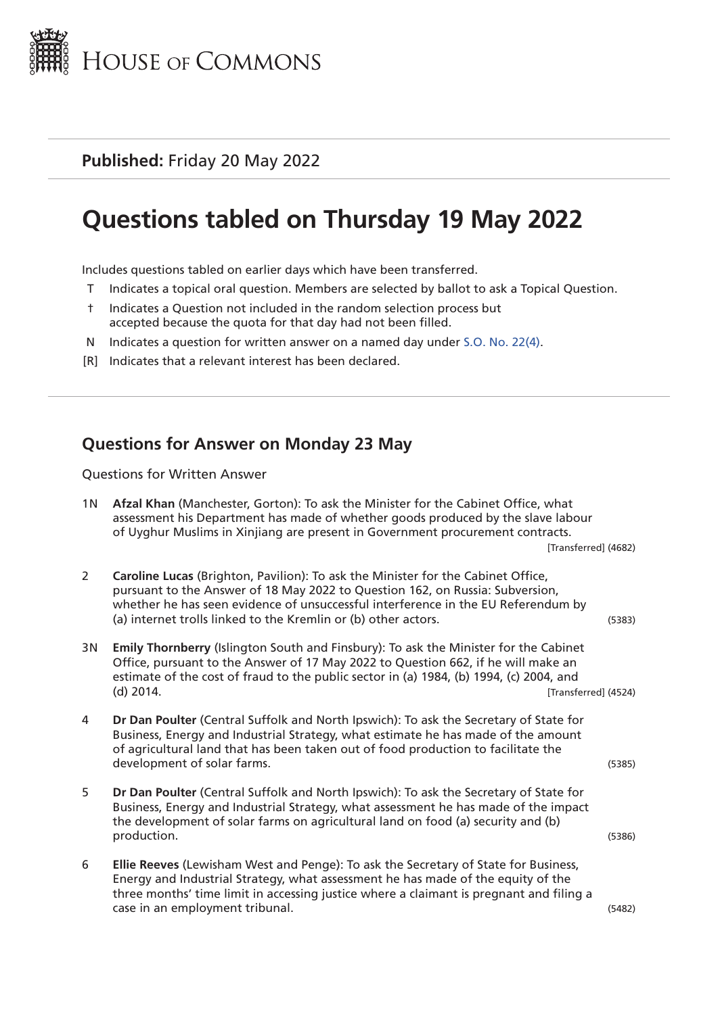

**Published:** Friday 20 May 2022

# **Questions tabled on Thursday 19 May 2022**

Includes questions tabled on earlier days which have been transferred.

- T Indicates a topical oral question. Members are selected by ballot to ask a Topical Question.
- † Indicates a Question not included in the random selection process but accepted because the quota for that day had not been filled.
- N Indicates a question for written answer on a named day under [S.O. No. 22\(4\).](http://publications.parliament.uk/pa/cm201719/cmstords/0004/body.html#22(4))
- [R] Indicates that a relevant interest has been declared.

#### **Questions for Answer on Monday 23 May**

Questions for Written Answer

| 1N Afzal Khan (Manchester, Gorton): To ask the Minister for the Cabinet Office, what |
|--------------------------------------------------------------------------------------|
| assessment his Department has made of whether goods produced by the slave labour     |
| of Uyghur Muslims in Xinjiang are present in Government procurement contracts.       |

[Transferred] (4682)

| Caroline Lucas (Brighton, Pavilion): To ask the Minister for the Cabinet Office,  |        |
|-----------------------------------------------------------------------------------|--------|
| pursuant to the Answer of 18 May 2022 to Question 162, on Russia: Subversion,     |        |
| whether he has seen evidence of unsuccessful interference in the EU Referendum by |        |
| (a) internet trolls linked to the Kremlin or (b) other actors.                    | (5383) |

- 3N **Emily Thornberry** (Islington South and Finsbury): To ask the Minister for the Cabinet Office, pursuant to the Answer of 17 May 2022 to Question 662, if he will make an estimate of the cost of fraud to the public sector in (a) 1984, (b) 1994, (c) 2004, and (d) 2014. [Transferred] (4524)
- 4 **Dr Dan Poulter** (Central Suffolk and North Ipswich): To ask the Secretary of State for Business, Energy and Industrial Strategy, what estimate he has made of the amount of agricultural land that has been taken out of food production to facilitate the development of solar farms. (5385)
- 5 **Dr Dan Poulter** (Central Suffolk and North Ipswich): To ask the Secretary of State for Business, Energy and Industrial Strategy, what assessment he has made of the impact the development of solar farms on agricultural land on food (a) security and (b) production. (5386)
- 6 **Ellie Reeves** (Lewisham West and Penge): To ask the Secretary of State for Business, Energy and Industrial Strategy, what assessment he has made of the equity of the three months' time limit in accessing justice where a claimant is pregnant and filing a case in an employment tribunal. (5482)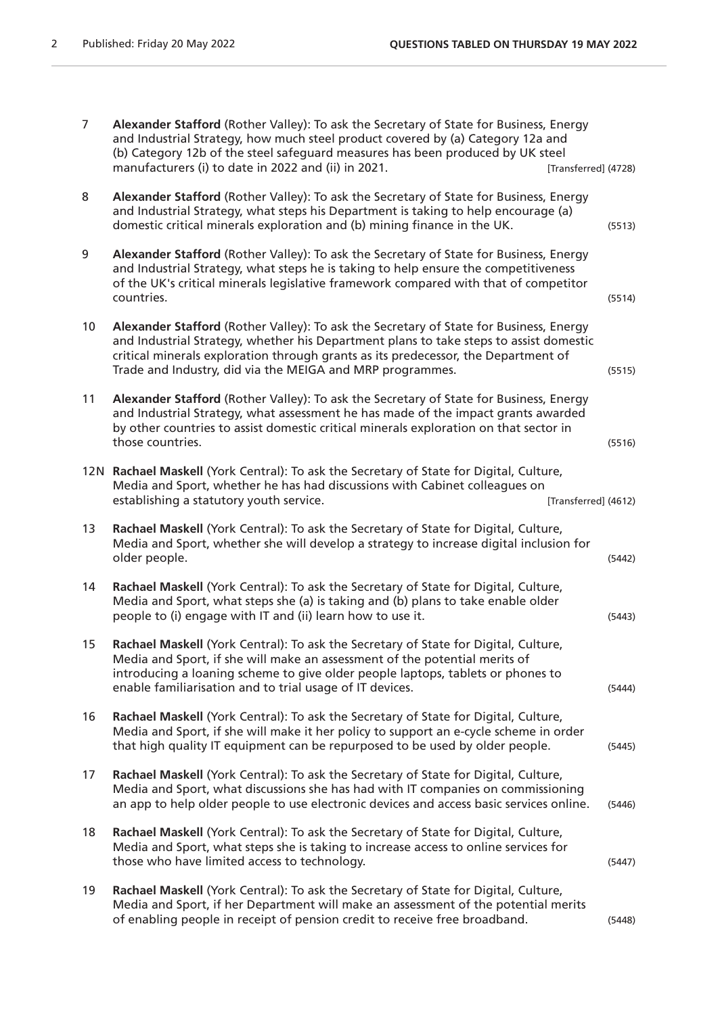| 7               | Alexander Stafford (Rother Valley): To ask the Secretary of State for Business, Energy<br>and Industrial Strategy, how much steel product covered by (a) Category 12a and<br>(b) Category 12b of the steel safeguard measures has been produced by UK steel<br>manufacturers (i) to date in 2022 and (ii) in 2021.<br>[Transferred] (4728) |        |
|-----------------|--------------------------------------------------------------------------------------------------------------------------------------------------------------------------------------------------------------------------------------------------------------------------------------------------------------------------------------------|--------|
| 8               | Alexander Stafford (Rother Valley): To ask the Secretary of State for Business, Energy<br>and Industrial Strategy, what steps his Department is taking to help encourage (a)<br>domestic critical minerals exploration and (b) mining finance in the UK.                                                                                   | (5513) |
| 9               | Alexander Stafford (Rother Valley): To ask the Secretary of State for Business, Energy<br>and Industrial Strategy, what steps he is taking to help ensure the competitiveness<br>of the UK's critical minerals legislative framework compared with that of competitor<br>countries.                                                        | (5514) |
| 10 <sup>°</sup> | Alexander Stafford (Rother Valley): To ask the Secretary of State for Business, Energy<br>and Industrial Strategy, whether his Department plans to take steps to assist domestic<br>critical minerals exploration through grants as its predecessor, the Department of<br>Trade and Industry, did via the MEIGA and MRP programmes.        | (5515) |
| 11              | Alexander Stafford (Rother Valley): To ask the Secretary of State for Business, Energy<br>and Industrial Strategy, what assessment he has made of the impact grants awarded<br>by other countries to assist domestic critical minerals exploration on that sector in<br>those countries.                                                   | (5516) |
| 12N             | Rachael Maskell (York Central): To ask the Secretary of State for Digital, Culture,<br>Media and Sport, whether he has had discussions with Cabinet colleagues on<br>establishing a statutory youth service.<br>[Transferred] (4612)                                                                                                       |        |
| 13              | Rachael Maskell (York Central): To ask the Secretary of State for Digital, Culture,<br>Media and Sport, whether she will develop a strategy to increase digital inclusion for<br>older people.                                                                                                                                             | (5442) |
| 14              | Rachael Maskell (York Central): To ask the Secretary of State for Digital, Culture,<br>Media and Sport, what steps she (a) is taking and (b) plans to take enable older<br>people to (i) engage with IT and (ii) learn how to use it.                                                                                                      | (5443) |
| 15              | Rachael Maskell (York Central): To ask the Secretary of State for Digital, Culture,<br>Media and Sport, if she will make an assessment of the potential merits of<br>introducing a loaning scheme to give older people laptops, tablets or phones to<br>enable familiarisation and to trial usage of IT devices.                           | (5444) |
| 16              | Rachael Maskell (York Central): To ask the Secretary of State for Digital, Culture,<br>Media and Sport, if she will make it her policy to support an e-cycle scheme in order<br>that high quality IT equipment can be repurposed to be used by older people.                                                                               | (5445) |
| 17              | Rachael Maskell (York Central): To ask the Secretary of State for Digital, Culture,<br>Media and Sport, what discussions she has had with IT companies on commissioning<br>an app to help older people to use electronic devices and access basic services online.                                                                         | (5446) |
| 18              | Rachael Maskell (York Central): To ask the Secretary of State for Digital, Culture,<br>Media and Sport, what steps she is taking to increase access to online services for<br>those who have limited access to technology.                                                                                                                 | (5447) |
| 19              | Rachael Maskell (York Central): To ask the Secretary of State for Digital, Culture,<br>Media and Sport, if her Department will make an assessment of the potential merits<br>of enabling people in receipt of pension credit to receive free broadband.                                                                                    | (5448) |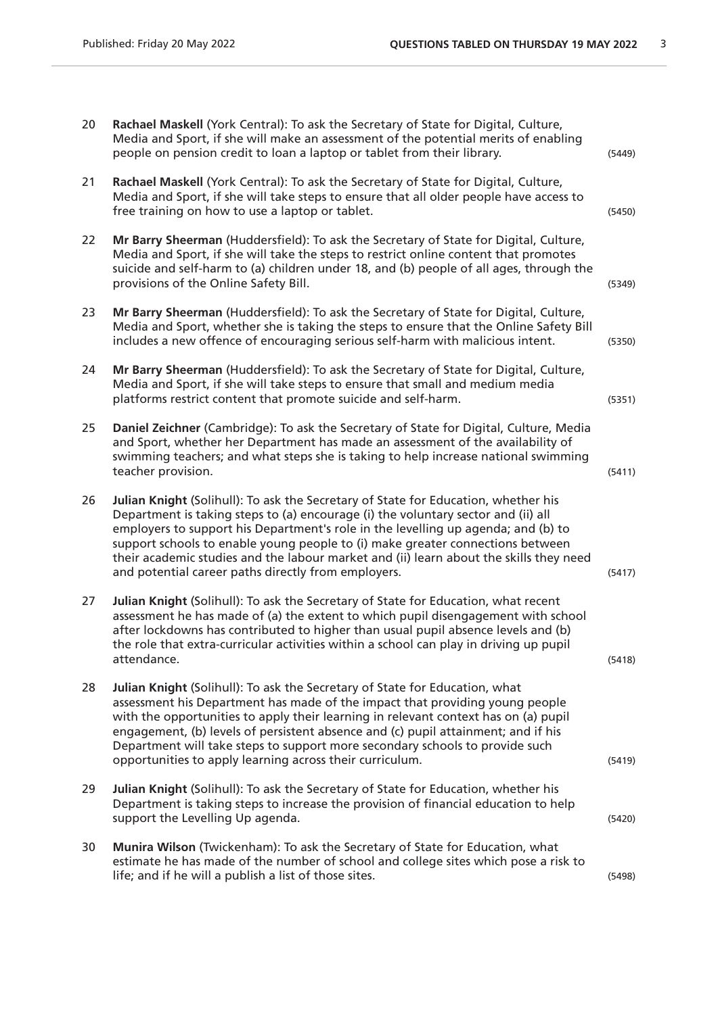| 20 | Rachael Maskell (York Central): To ask the Secretary of State for Digital, Culture,<br>Media and Sport, if she will make an assessment of the potential merits of enabling<br>people on pension credit to loan a laptop or tablet from their library.                                                                                                                                                                                                                                           | (5449) |
|----|-------------------------------------------------------------------------------------------------------------------------------------------------------------------------------------------------------------------------------------------------------------------------------------------------------------------------------------------------------------------------------------------------------------------------------------------------------------------------------------------------|--------|
| 21 | Rachael Maskell (York Central): To ask the Secretary of State for Digital, Culture,<br>Media and Sport, if she will take steps to ensure that all older people have access to<br>free training on how to use a laptop or tablet.                                                                                                                                                                                                                                                                | (5450) |
| 22 | Mr Barry Sheerman (Huddersfield): To ask the Secretary of State for Digital, Culture,<br>Media and Sport, if she will take the steps to restrict online content that promotes<br>suicide and self-harm to (a) children under 18, and (b) people of all ages, through the<br>provisions of the Online Safety Bill.                                                                                                                                                                               | (5349) |
| 23 | Mr Barry Sheerman (Huddersfield): To ask the Secretary of State for Digital, Culture,<br>Media and Sport, whether she is taking the steps to ensure that the Online Safety Bill<br>includes a new offence of encouraging serious self-harm with malicious intent.                                                                                                                                                                                                                               | (5350) |
| 24 | Mr Barry Sheerman (Huddersfield): To ask the Secretary of State for Digital, Culture,<br>Media and Sport, if she will take steps to ensure that small and medium media<br>platforms restrict content that promote suicide and self-harm.                                                                                                                                                                                                                                                        | (5351) |
| 25 | Daniel Zeichner (Cambridge): To ask the Secretary of State for Digital, Culture, Media<br>and Sport, whether her Department has made an assessment of the availability of<br>swimming teachers; and what steps she is taking to help increase national swimming<br>teacher provision.                                                                                                                                                                                                           | (5411) |
| 26 | Julian Knight (Solihull): To ask the Secretary of State for Education, whether his<br>Department is taking steps to (a) encourage (i) the voluntary sector and (ii) all<br>employers to support his Department's role in the levelling up agenda; and (b) to<br>support schools to enable young people to (i) make greater connections between<br>their academic studies and the labour market and (ii) learn about the skills they need<br>and potential career paths directly from employers. | (5417) |
| 27 | Julian Knight (Solihull): To ask the Secretary of State for Education, what recent<br>assessment he has made of (a) the extent to which pupil disengagement with school<br>after lockdowns has contributed to higher than usual pupil absence levels and (b)<br>the role that extra-curricular activities within a school can play in driving up pupil<br>attendance.                                                                                                                           | (5418) |
| 28 | Julian Knight (Solihull): To ask the Secretary of State for Education, what<br>assessment his Department has made of the impact that providing young people<br>with the opportunities to apply their learning in relevant context has on (a) pupil<br>engagement, (b) levels of persistent absence and (c) pupil attainment; and if his<br>Department will take steps to support more secondary schools to provide such<br>opportunities to apply learning across their curriculum.             | (5419) |
| 29 | Julian Knight (Solihull): To ask the Secretary of State for Education, whether his<br>Department is taking steps to increase the provision of financial education to help<br>support the Levelling Up agenda.                                                                                                                                                                                                                                                                                   | (5420) |
| 30 | Munira Wilson (Twickenham): To ask the Secretary of State for Education, what<br>estimate he has made of the number of school and college sites which pose a risk to<br>life; and if he will a publish a list of those sites.                                                                                                                                                                                                                                                                   | (5498) |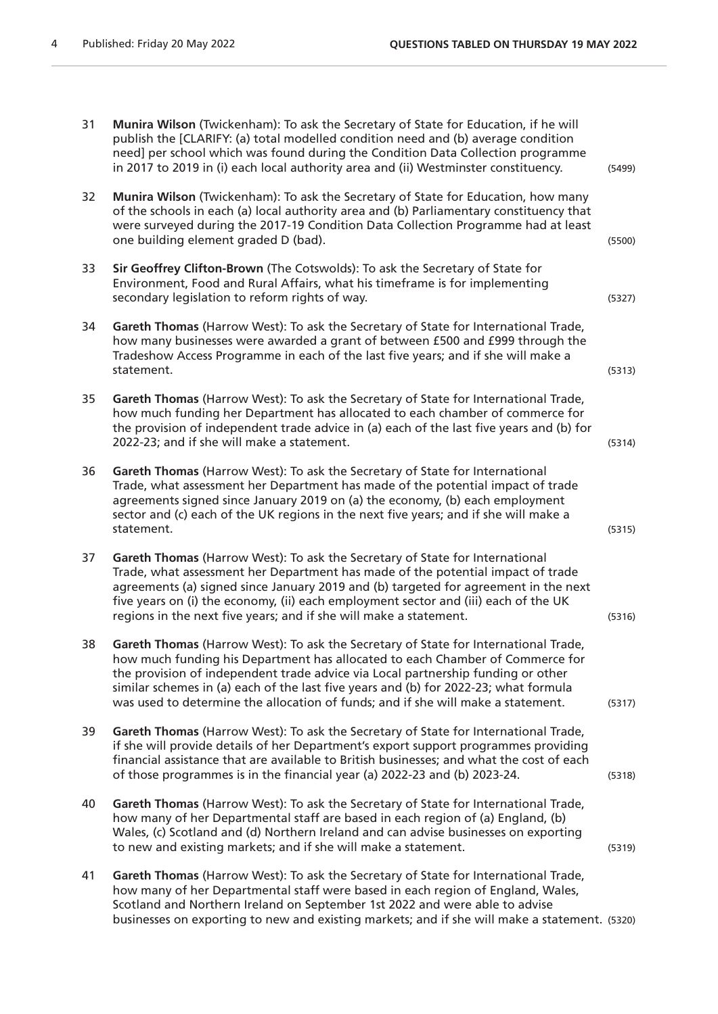| 31 | Munira Wilson (Twickenham): To ask the Secretary of State for Education, if he will<br>publish the [CLARIFY: (a) total modelled condition need and (b) average condition<br>need] per school which was found during the Condition Data Collection programme<br>in 2017 to 2019 in (i) each local authority area and (ii) Westminster constituency.                                                                                   | (5499) |
|----|--------------------------------------------------------------------------------------------------------------------------------------------------------------------------------------------------------------------------------------------------------------------------------------------------------------------------------------------------------------------------------------------------------------------------------------|--------|
| 32 | Munira Wilson (Twickenham): To ask the Secretary of State for Education, how many<br>of the schools in each (a) local authority area and (b) Parliamentary constituency that<br>were surveyed during the 2017-19 Condition Data Collection Programme had at least<br>one building element graded D (bad).                                                                                                                            | (5500) |
| 33 | Sir Geoffrey Clifton-Brown (The Cotswolds): To ask the Secretary of State for<br>Environment, Food and Rural Affairs, what his timeframe is for implementing<br>secondary legislation to reform rights of way.                                                                                                                                                                                                                       | (5327) |
| 34 | Gareth Thomas (Harrow West): To ask the Secretary of State for International Trade,<br>how many businesses were awarded a grant of between £500 and £999 through the<br>Tradeshow Access Programme in each of the last five years; and if she will make a<br>statement.                                                                                                                                                              | (5313) |
| 35 | Gareth Thomas (Harrow West): To ask the Secretary of State for International Trade,<br>how much funding her Department has allocated to each chamber of commerce for<br>the provision of independent trade advice in (a) each of the last five years and (b) for<br>2022-23; and if she will make a statement.                                                                                                                       | (5314) |
| 36 | Gareth Thomas (Harrow West): To ask the Secretary of State for International<br>Trade, what assessment her Department has made of the potential impact of trade<br>agreements signed since January 2019 on (a) the economy, (b) each employment<br>sector and (c) each of the UK regions in the next five years; and if she will make a<br>statement.                                                                                | (5315) |
| 37 | Gareth Thomas (Harrow West): To ask the Secretary of State for International<br>Trade, what assessment her Department has made of the potential impact of trade<br>agreements (a) signed since January 2019 and (b) targeted for agreement in the next<br>five years on (i) the economy, (ii) each employment sector and (iii) each of the UK<br>regions in the next five years; and if she will make a statement.                   | (5316) |
| 38 | Gareth Thomas (Harrow West): To ask the Secretary of State for International Trade,<br>how much funding his Department has allocated to each Chamber of Commerce for<br>the provision of independent trade advice via Local partnership funding or other<br>similar schemes in (a) each of the last five years and (b) for 2022-23; what formula<br>was used to determine the allocation of funds; and if she will make a statement. | (5317) |
| 39 | Gareth Thomas (Harrow West): To ask the Secretary of State for International Trade,<br>if she will provide details of her Department's export support programmes providing<br>financial assistance that are available to British businesses; and what the cost of each<br>of those programmes is in the financial year (a) 2022-23 and (b) 2023-24.                                                                                  | (5318) |
| 40 | Gareth Thomas (Harrow West): To ask the Secretary of State for International Trade,<br>how many of her Departmental staff are based in each region of (a) England, (b)<br>Wales, (c) Scotland and (d) Northern Ireland and can advise businesses on exporting<br>to new and existing markets; and if she will make a statement.                                                                                                      | (5319) |
| 41 | Gareth Thomas (Harrow West): To ask the Secretary of State for International Trade,<br>how many of her Departmental staff were based in each region of England, Wales,<br>Scotland and Northern Ireland on September 1st 2022 and were able to advise<br>businesses on exporting to new and existing markets; and if she will make a statement. (5320)                                                                               |        |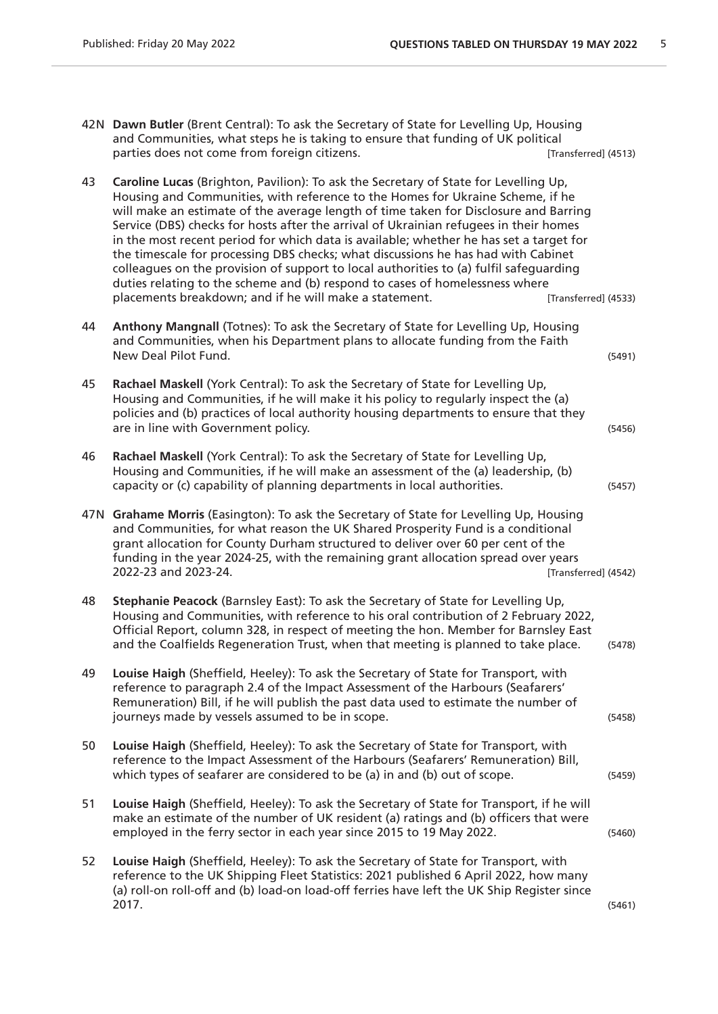- 42N **Dawn Butler** (Brent Central): To ask the Secretary of State for Levelling Up, Housing and Communities, what steps he is taking to ensure that funding of UK political parties does not come from foreign citizens. The contract test of the set of the set of the parties does not come from foreign citizens.
- 43 **Caroline Lucas** (Brighton, Pavilion): To ask the Secretary of State for Levelling Up, Housing and Communities, with reference to the Homes for Ukraine Scheme, if he will make an estimate of the average length of time taken for Disclosure and Barring Service (DBS) checks for hosts after the arrival of Ukrainian refugees in their homes in the most recent period for which data is available; whether he has set a target for the timescale for processing DBS checks; what discussions he has had with Cabinet colleagues on the provision of support to local authorities to (a) fulfil safeguarding duties relating to the scheme and (b) respond to cases of homelessness where placements breakdown; and if he will make a statement. [Transferred] (4533)
- 44 **Anthony Mangnall** (Totnes): To ask the Secretary of State for Levelling Up, Housing and Communities, when his Department plans to allocate funding from the Faith New Deal Pilot Fund. (5491)
- 45 **Rachael Maskell** (York Central): To ask the Secretary of State for Levelling Up, Housing and Communities, if he will make it his policy to regularly inspect the (a) policies and (b) practices of local authority housing departments to ensure that they are in line with Government policy. (5456)
- 46 **Rachael Maskell** (York Central): To ask the Secretary of State for Levelling Up, Housing and Communities, if he will make an assessment of the (a) leadership, (b) capacity or (c) capability of planning departments in local authorities. (5457)
- 47N **Grahame Morris** (Easington): To ask the Secretary of State for Levelling Up, Housing and Communities, for what reason the UK Shared Prosperity Fund is a conditional grant allocation for County Durham structured to deliver over 60 per cent of the funding in the year 2024-25, with the remaining grant allocation spread over years 2022-23 and 2023-24. [Transferred] (4542)
- 48 **Stephanie Peacock** (Barnsley East): To ask the Secretary of State for Levelling Up, Housing and Communities, with reference to his oral contribution of 2 February 2022, Official Report, column 328, in respect of meeting the hon. Member for Barnsley East and the Coalfields Regeneration Trust, when that meeting is planned to take place. (5478)
- 49 **Louise Haigh** (Sheffield, Heeley): To ask the Secretary of State for Transport, with reference to paragraph 2.4 of the Impact Assessment of the Harbours (Seafarers' Remuneration) Bill, if he will publish the past data used to estimate the number of journeys made by vessels assumed to be in scope. (5458)
- 50 **Louise Haigh** (Sheffield, Heeley): To ask the Secretary of State for Transport, with reference to the Impact Assessment of the Harbours (Seafarers' Remuneration) Bill, which types of seafarer are considered to be (a) in and (b) out of scope. (5459)
- 51 **Louise Haigh** (Sheffield, Heeley): To ask the Secretary of State for Transport, if he will make an estimate of the number of UK resident (a) ratings and (b) officers that were employed in the ferry sector in each year since 2015 to 19 May 2022. (5460)
- 52 **Louise Haigh** (Sheffield, Heeley): To ask the Secretary of State for Transport, with reference to the UK Shipping Fleet Statistics: 2021 published 6 April 2022, how many (a) roll-on roll-off and (b) load-on load-off ferries have left the UK Ship Register since  $2017.$  (5461)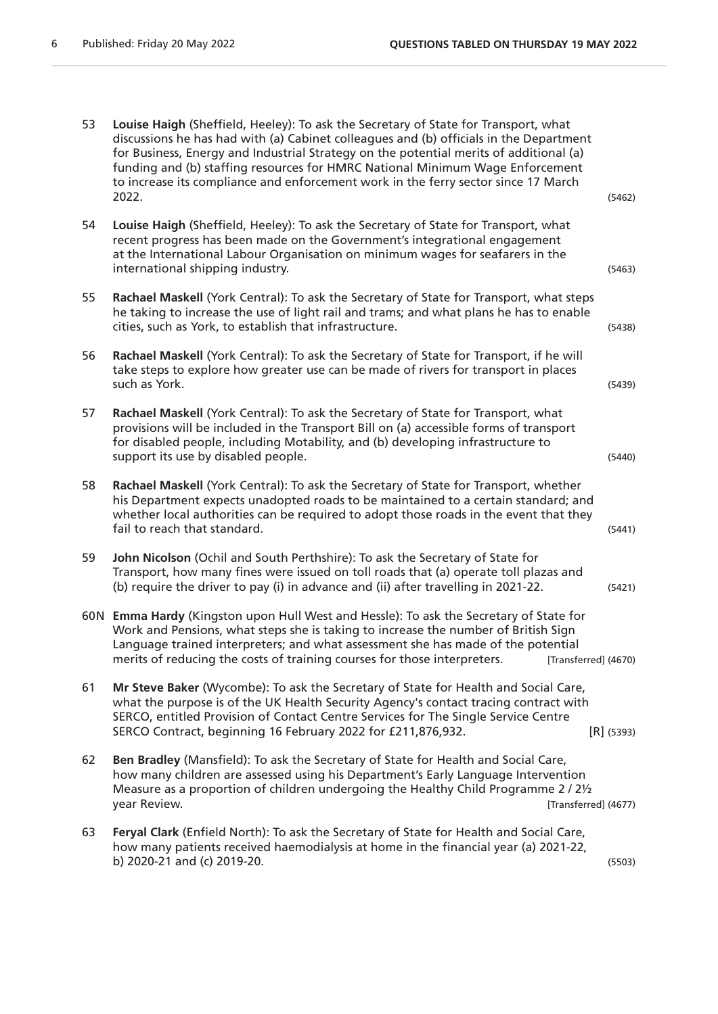| 53 | Louise Haigh (Sheffield, Heeley): To ask the Secretary of State for Transport, what<br>discussions he has had with (a) Cabinet colleagues and (b) officials in the Department<br>for Business, Energy and Industrial Strategy on the potential merits of additional (a)<br>funding and (b) staffing resources for HMRC National Minimum Wage Enforcement<br>to increase its compliance and enforcement work in the ferry sector since 17 March<br>2022. | (5462)       |
|----|---------------------------------------------------------------------------------------------------------------------------------------------------------------------------------------------------------------------------------------------------------------------------------------------------------------------------------------------------------------------------------------------------------------------------------------------------------|--------------|
| 54 | Louise Haigh (Sheffield, Heeley): To ask the Secretary of State for Transport, what<br>recent progress has been made on the Government's integrational engagement<br>at the International Labour Organisation on minimum wages for seafarers in the<br>international shipping industry.                                                                                                                                                                 | (5463)       |
| 55 | Rachael Maskell (York Central): To ask the Secretary of State for Transport, what steps<br>he taking to increase the use of light rail and trams; and what plans he has to enable<br>cities, such as York, to establish that infrastructure.                                                                                                                                                                                                            | (5438)       |
| 56 | Rachael Maskell (York Central): To ask the Secretary of State for Transport, if he will<br>take steps to explore how greater use can be made of rivers for transport in places<br>such as York.                                                                                                                                                                                                                                                         | (5439)       |
| 57 | Rachael Maskell (York Central): To ask the Secretary of State for Transport, what<br>provisions will be included in the Transport Bill on (a) accessible forms of transport<br>for disabled people, including Motability, and (b) developing infrastructure to<br>support its use by disabled people.                                                                                                                                                   | (5440)       |
| 58 | Rachael Maskell (York Central): To ask the Secretary of State for Transport, whether<br>his Department expects unadopted roads to be maintained to a certain standard; and<br>whether local authorities can be required to adopt those roads in the event that they<br>fail to reach that standard.                                                                                                                                                     | (5441)       |
| 59 | John Nicolson (Ochil and South Perthshire): To ask the Secretary of State for<br>Transport, how many fines were issued on toll roads that (a) operate toll plazas and<br>(b) require the driver to pay (i) in advance and (ii) after travelling in 2021-22.                                                                                                                                                                                             | (5421)       |
|    | 60N Emma Hardy (Kingston upon Hull West and Hessle): To ask the Secretary of State for<br>Work and Pensions, what steps she is taking to increase the number of British Sign<br>Language trained interpreters; and what assessment she has made of the potential<br>merits of reducing the costs of training courses for those interpreters.<br>[Transferred] (4670)                                                                                    |              |
| 61 | Mr Steve Baker (Wycombe): To ask the Secretary of State for Health and Social Care,<br>what the purpose is of the UK Health Security Agency's contact tracing contract with<br>SERCO, entitled Provision of Contact Centre Services for The Single Service Centre<br>SERCO Contract, beginning 16 February 2022 for £211,876,932.                                                                                                                       | $[R]$ (5393) |
| 62 | Ben Bradley (Mansfield): To ask the Secretary of State for Health and Social Care,<br>how many children are assessed using his Department's Early Language Intervention<br>Measure as a proportion of children undergoing the Healthy Child Programme 2/21/2<br>year Review.<br>[Transferred] (4677)                                                                                                                                                    |              |
| 63 | Feryal Clark (Enfield North): To ask the Secretary of State for Health and Social Care,<br>how many patients received haemodialysis at home in the financial year (a) 2021-22,<br>b) 2020-21 and (c) 2019-20.                                                                                                                                                                                                                                           | (5503)       |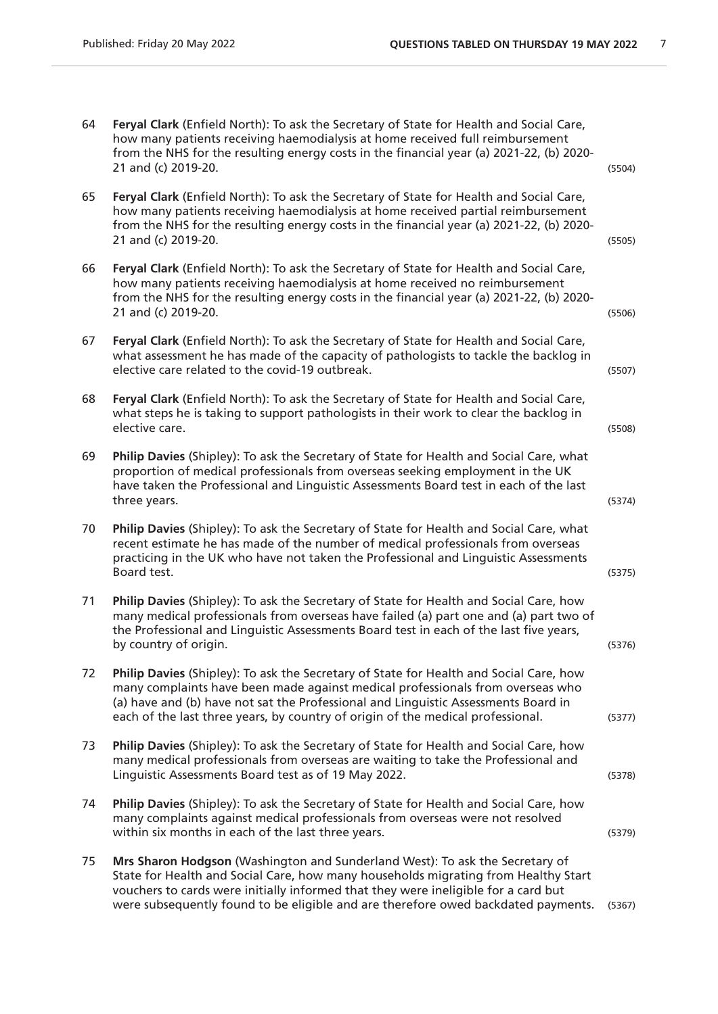64 **Feryal Clark** (Enfield North): To ask the Secretary of State for Health and Social Care, how many patients receiving haemodialysis at home received full reimbursement from the NHS for the resulting energy costs in the financial year (a) 2021-22, (b) 2020- 21 and (c) 2019-20. (5504) 65 **Feryal Clark** (Enfield North): To ask the Secretary of State for Health and Social Care, how many patients receiving haemodialysis at home received partial reimbursement from the NHS for the resulting energy costs in the financial year (a) 2021-22, (b) 2020- 21 and (c) 2019-20. (5505) 66 **Feryal Clark** (Enfield North): To ask the Secretary of State for Health and Social Care, how many patients receiving haemodialysis at home received no reimbursement from the NHS for the resulting energy costs in the financial year (a) 2021-22, (b) 2020- 21 and (c) 2019-20. (5506) 67 **Feryal Clark** (Enfield North): To ask the Secretary of State for Health and Social Care, what assessment he has made of the capacity of pathologists to tackle the backlog in elective care related to the covid-19 outbreak. (5507) 68 **Feryal Clark** (Enfield North): To ask the Secretary of State for Health and Social Care, what steps he is taking to support pathologists in their work to clear the backlog in elective care. (5508) 69 **Philip Davies** (Shipley): To ask the Secretary of State for Health and Social Care, what proportion of medical professionals from overseas seeking employment in the UK have taken the Professional and Linguistic Assessments Board test in each of the last three years. (5374) 70 **Philip Davies** (Shipley): To ask the Secretary of State for Health and Social Care, what recent estimate he has made of the number of medical professionals from overseas practicing in the UK who have not taken the Professional and Linguistic Assessments Board test. (5375) 71 **Philip Davies** (Shipley): To ask the Secretary of State for Health and Social Care, how many medical professionals from overseas have failed (a) part one and (a) part two of the Professional and Linguistic Assessments Board test in each of the last five years, by country of origin. (5376) 72 **Philip Davies** (Shipley): To ask the Secretary of State for Health and Social Care, how many complaints have been made against medical professionals from overseas who (a) have and (b) have not sat the Professional and Linguistic Assessments Board in each of the last three years, by country of origin of the medical professional. (5377) 73 **Philip Davies** (Shipley): To ask the Secretary of State for Health and Social Care, how many medical professionals from overseas are waiting to take the Professional and Linguistic Assessments Board test as of 19 May 2022. (5378) 74 **Philip Davies** (Shipley): To ask the Secretary of State for Health and Social Care, how many complaints against medical professionals from overseas were not resolved within six months in each of the last three years.  $(5379)$ 75 **Mrs Sharon Hodgson** (Washington and Sunderland West): To ask the Secretary of State for Health and Social Care, how many households migrating from Healthy Start vouchers to cards were initially informed that they were ineligible for a card but were subsequently found to be eligible and are therefore owed backdated payments. (5367)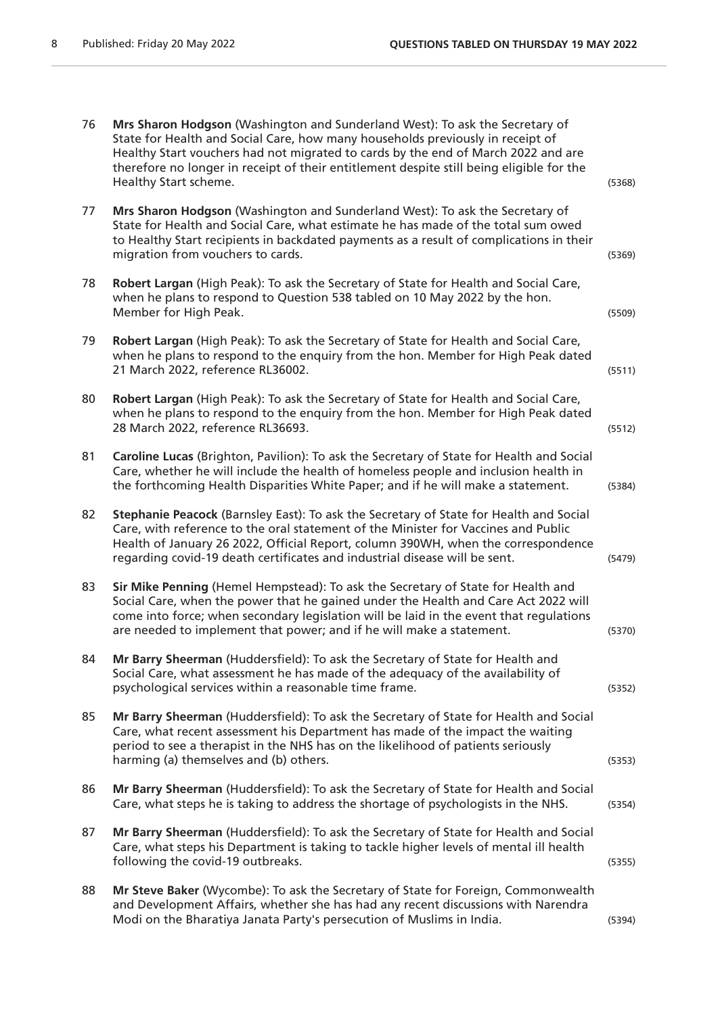| 76 | Mrs Sharon Hodgson (Washington and Sunderland West): To ask the Secretary of<br>State for Health and Social Care, how many households previously in receipt of<br>Healthy Start vouchers had not migrated to cards by the end of March 2022 and are<br>therefore no longer in receipt of their entitlement despite still being eligible for the<br>Healthy Start scheme. | (5368) |
|----|--------------------------------------------------------------------------------------------------------------------------------------------------------------------------------------------------------------------------------------------------------------------------------------------------------------------------------------------------------------------------|--------|
| 77 | Mrs Sharon Hodgson (Washington and Sunderland West): To ask the Secretary of<br>State for Health and Social Care, what estimate he has made of the total sum owed<br>to Healthy Start recipients in backdated payments as a result of complications in their<br>migration from vouchers to cards.                                                                        | (5369) |
| 78 | Robert Largan (High Peak): To ask the Secretary of State for Health and Social Care,<br>when he plans to respond to Question 538 tabled on 10 May 2022 by the hon.<br>Member for High Peak.                                                                                                                                                                              | (5509) |
| 79 | Robert Largan (High Peak): To ask the Secretary of State for Health and Social Care,<br>when he plans to respond to the enquiry from the hon. Member for High Peak dated<br>21 March 2022, reference RL36002.                                                                                                                                                            | (5511) |
| 80 | Robert Largan (High Peak): To ask the Secretary of State for Health and Social Care,<br>when he plans to respond to the enquiry from the hon. Member for High Peak dated<br>28 March 2022, reference RL36693.                                                                                                                                                            | (5512) |
| 81 | Caroline Lucas (Brighton, Pavilion): To ask the Secretary of State for Health and Social<br>Care, whether he will include the health of homeless people and inclusion health in<br>the forthcoming Health Disparities White Paper; and if he will make a statement.                                                                                                      | (5384) |
| 82 | Stephanie Peacock (Barnsley East): To ask the Secretary of State for Health and Social<br>Care, with reference to the oral statement of the Minister for Vaccines and Public<br>Health of January 26 2022, Official Report, column 390WH, when the correspondence<br>regarding covid-19 death certificates and industrial disease will be sent.                          | (5479) |
| 83 | Sir Mike Penning (Hemel Hempstead): To ask the Secretary of State for Health and<br>Social Care, when the power that he gained under the Health and Care Act 2022 will<br>come into force; when secondary legislation will be laid in the event that regulations<br>are needed to implement that power; and if he will make a statement.                                 | (5370) |
| 84 | Mr Barry Sheerman (Huddersfield): To ask the Secretary of State for Health and<br>Social Care, what assessment he has made of the adequacy of the availability of<br>psychological services within a reasonable time frame.                                                                                                                                              | (5352) |
| 85 | Mr Barry Sheerman (Huddersfield): To ask the Secretary of State for Health and Social<br>Care, what recent assessment his Department has made of the impact the waiting<br>period to see a therapist in the NHS has on the likelihood of patients seriously<br>harming (a) themselves and (b) others.                                                                    | (5353) |
| 86 | Mr Barry Sheerman (Huddersfield): To ask the Secretary of State for Health and Social<br>Care, what steps he is taking to address the shortage of psychologists in the NHS.                                                                                                                                                                                              | (5354) |
| 87 | Mr Barry Sheerman (Huddersfield): To ask the Secretary of State for Health and Social<br>Care, what steps his Department is taking to tackle higher levels of mental ill health<br>following the covid-19 outbreaks.                                                                                                                                                     | (5355) |
| 88 | Mr Steve Baker (Wycombe): To ask the Secretary of State for Foreign, Commonwealth<br>and Development Affairs, whether she has had any recent discussions with Narendra<br>Modi on the Bharatiya Janata Party's persecution of Muslims in India.                                                                                                                          | (5394) |
|    |                                                                                                                                                                                                                                                                                                                                                                          |        |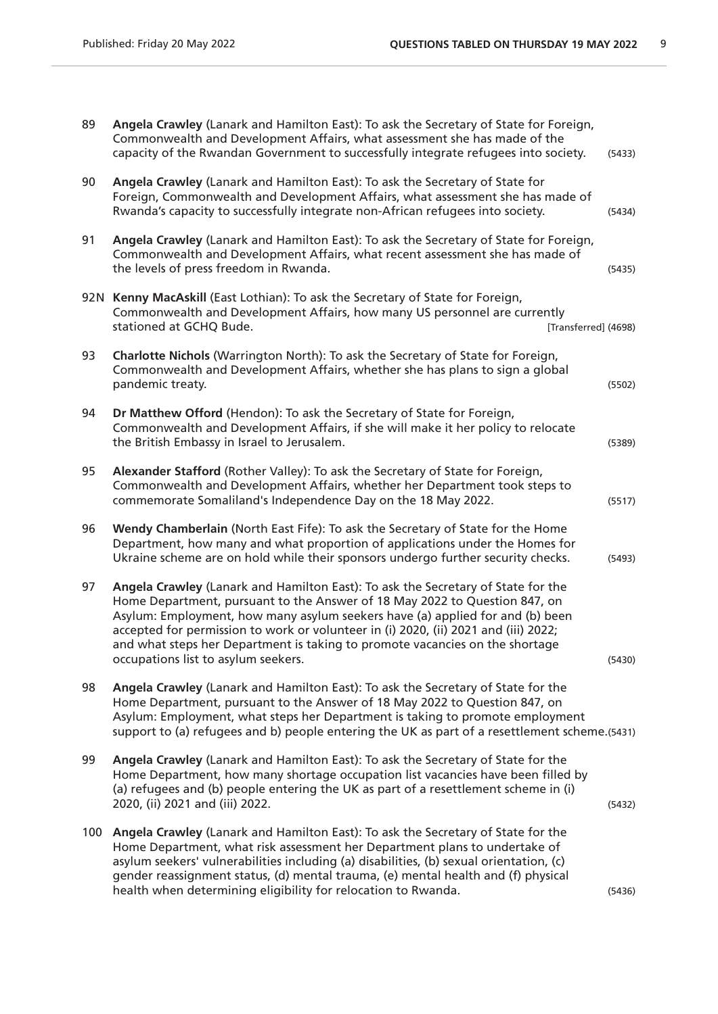| Angela Crawley (Lanark and Hamilton East): To ask the Secretary of State for Foreign,<br>Commonwealth and Development Affairs, what assessment she has made of the<br>capacity of the Rwandan Government to successfully integrate refugees into society.                                                                                                                                                                                                     | (5433)                                                                                                                |
|---------------------------------------------------------------------------------------------------------------------------------------------------------------------------------------------------------------------------------------------------------------------------------------------------------------------------------------------------------------------------------------------------------------------------------------------------------------|-----------------------------------------------------------------------------------------------------------------------|
| Angela Crawley (Lanark and Hamilton East): To ask the Secretary of State for<br>Foreign, Commonwealth and Development Affairs, what assessment she has made of<br>Rwanda's capacity to successfully integrate non-African refugees into society.                                                                                                                                                                                                              | (5434)                                                                                                                |
| Angela Crawley (Lanark and Hamilton East): To ask the Secretary of State for Foreign,<br>Commonwealth and Development Affairs, what recent assessment she has made of<br>the levels of press freedom in Rwanda.                                                                                                                                                                                                                                               | (5435)                                                                                                                |
| 92N Kenny MacAskill (East Lothian): To ask the Secretary of State for Foreign,<br>Commonwealth and Development Affairs, how many US personnel are currently<br>stationed at GCHQ Bude.                                                                                                                                                                                                                                                                        |                                                                                                                       |
| Charlotte Nichols (Warrington North): To ask the Secretary of State for Foreign,<br>Commonwealth and Development Affairs, whether she has plans to sign a global<br>pandemic treaty.                                                                                                                                                                                                                                                                          | (5502)                                                                                                                |
| Dr Matthew Offord (Hendon): To ask the Secretary of State for Foreign,<br>Commonwealth and Development Affairs, if she will make it her policy to relocate<br>the British Embassy in Israel to Jerusalem.                                                                                                                                                                                                                                                     | (5389)                                                                                                                |
| Alexander Stafford (Rother Valley): To ask the Secretary of State for Foreign,<br>Commonwealth and Development Affairs, whether her Department took steps to<br>commemorate Somaliland's Independence Day on the 18 May 2022.                                                                                                                                                                                                                                 | (5517)                                                                                                                |
| Wendy Chamberlain (North East Fife): To ask the Secretary of State for the Home<br>Department, how many and what proportion of applications under the Homes for<br>Ukraine scheme are on hold while their sponsors undergo further security checks.                                                                                                                                                                                                           | (5493)                                                                                                                |
| Angela Crawley (Lanark and Hamilton East): To ask the Secretary of State for the<br>Home Department, pursuant to the Answer of 18 May 2022 to Question 847, on<br>Asylum: Employment, how many asylum seekers have (a) applied for and (b) been<br>accepted for permission to work or volunteer in (i) 2020, (ii) 2021 and (iii) 2022;<br>and what steps her Department is taking to promote vacancies on the shortage<br>occupations list to asylum seekers. | (5430)                                                                                                                |
| Angela Crawley (Lanark and Hamilton East): To ask the Secretary of State for the<br>Home Department, pursuant to the Answer of 18 May 2022 to Question 847, on<br>Asylum: Employment, what steps her Department is taking to promote employment                                                                                                                                                                                                               |                                                                                                                       |
| Angela Crawley (Lanark and Hamilton East): To ask the Secretary of State for the<br>Home Department, how many shortage occupation list vacancies have been filled by<br>(a) refugees and (b) people entering the UK as part of a resettlement scheme in (i)<br>2020, (ii) 2021 and (iii) 2022.                                                                                                                                                                | (5432)                                                                                                                |
| Angela Crawley (Lanark and Hamilton East): To ask the Secretary of State for the<br>Home Department, what risk assessment her Department plans to undertake of<br>asylum seekers' vulnerabilities including (a) disabilities, (b) sexual orientation, (c)<br>gender reassignment status, (d) mental trauma, (e) mental health and (f) physical<br>health when determining eligibility for relocation to Rwanda.                                               | (5436)                                                                                                                |
|                                                                                                                                                                                                                                                                                                                                                                                                                                                               | [Transferred] (4698)<br>support to (a) refugees and b) people entering the UK as part of a resettlement scheme.(5431) |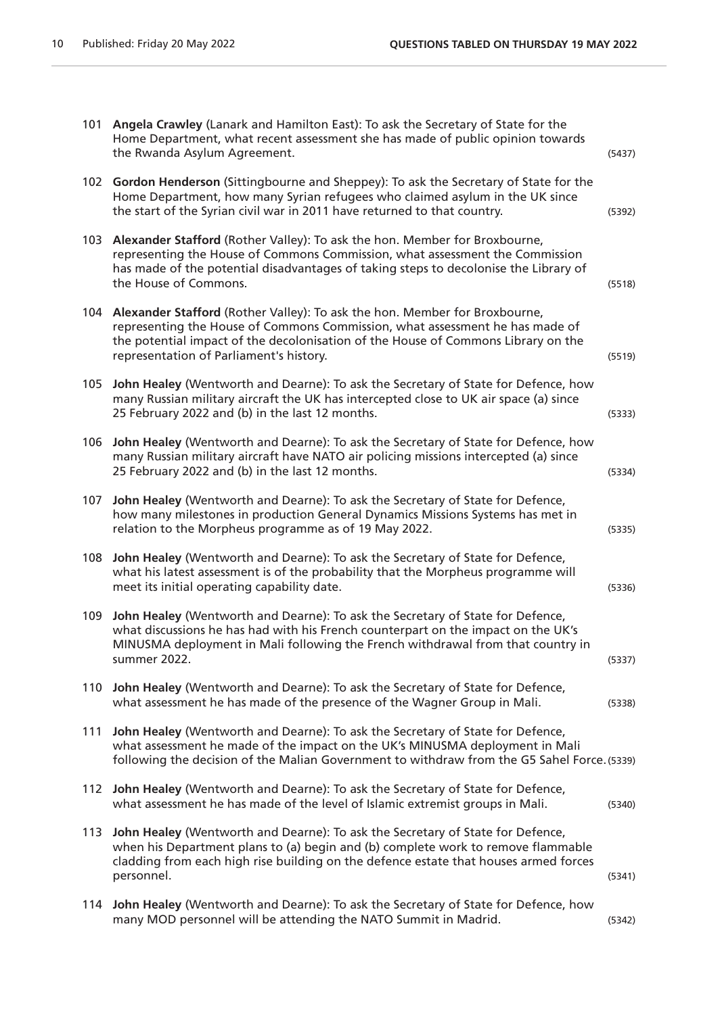| 101 | Angela Crawley (Lanark and Hamilton East): To ask the Secretary of State for the<br>Home Department, what recent assessment she has made of public opinion towards<br>the Rwanda Asylum Agreement.                                                                                         | (5437) |
|-----|--------------------------------------------------------------------------------------------------------------------------------------------------------------------------------------------------------------------------------------------------------------------------------------------|--------|
|     | 102 Gordon Henderson (Sittingbourne and Sheppey): To ask the Secretary of State for the<br>Home Department, how many Syrian refugees who claimed asylum in the UK since<br>the start of the Syrian civil war in 2011 have returned to that country.                                        | (5392) |
| 103 | Alexander Stafford (Rother Valley): To ask the hon. Member for Broxbourne,<br>representing the House of Commons Commission, what assessment the Commission<br>has made of the potential disadvantages of taking steps to decolonise the Library of<br>the House of Commons.                | (5518) |
| 104 | Alexander Stafford (Rother Valley): To ask the hon. Member for Broxbourne,<br>representing the House of Commons Commission, what assessment he has made of<br>the potential impact of the decolonisation of the House of Commons Library on the<br>representation of Parliament's history. | (5519) |
| 105 | John Healey (Wentworth and Dearne): To ask the Secretary of State for Defence, how<br>many Russian military aircraft the UK has intercepted close to UK air space (a) since<br>25 February 2022 and (b) in the last 12 months.                                                             | (5333) |
| 106 | John Healey (Wentworth and Dearne): To ask the Secretary of State for Defence, how<br>many Russian military aircraft have NATO air policing missions intercepted (a) since<br>25 February 2022 and (b) in the last 12 months.                                                              | (5334) |
| 107 | John Healey (Wentworth and Dearne): To ask the Secretary of State for Defence,<br>how many milestones in production General Dynamics Missions Systems has met in<br>relation to the Morpheus programme as of 19 May 2022.                                                                  | (5335) |
| 108 | John Healey (Wentworth and Dearne): To ask the Secretary of State for Defence,<br>what his latest assessment is of the probability that the Morpheus programme will<br>meet its initial operating capability date.                                                                         | (5336) |
| 109 | John Healey (Wentworth and Dearne): To ask the Secretary of State for Defence,<br>what discussions he has had with his French counterpart on the impact on the UK's<br>MINUSMA deployment in Mali following the French withdrawal from that country in<br>summer 2022.                     | (5337) |
| 110 | John Healey (Wentworth and Dearne): To ask the Secretary of State for Defence,<br>what assessment he has made of the presence of the Wagner Group in Mali.                                                                                                                                 | (5338) |
| 111 | John Healey (Wentworth and Dearne): To ask the Secretary of State for Defence,<br>what assessment he made of the impact on the UK's MINUSMA deployment in Mali<br>following the decision of the Malian Government to withdraw from the G5 Sahel Force. (5339)                              |        |
| 112 | John Healey (Wentworth and Dearne): To ask the Secretary of State for Defence,<br>what assessment he has made of the level of Islamic extremist groups in Mali.                                                                                                                            | (5340) |
| 113 | John Healey (Wentworth and Dearne): To ask the Secretary of State for Defence,<br>when his Department plans to (a) begin and (b) complete work to remove flammable<br>cladding from each high rise building on the defence estate that houses armed forces<br>personnel.                   | (5341) |
| 114 | John Healey (Wentworth and Dearne): To ask the Secretary of State for Defence, how<br>many MOD personnel will be attending the NATO Summit in Madrid.                                                                                                                                      | (5342) |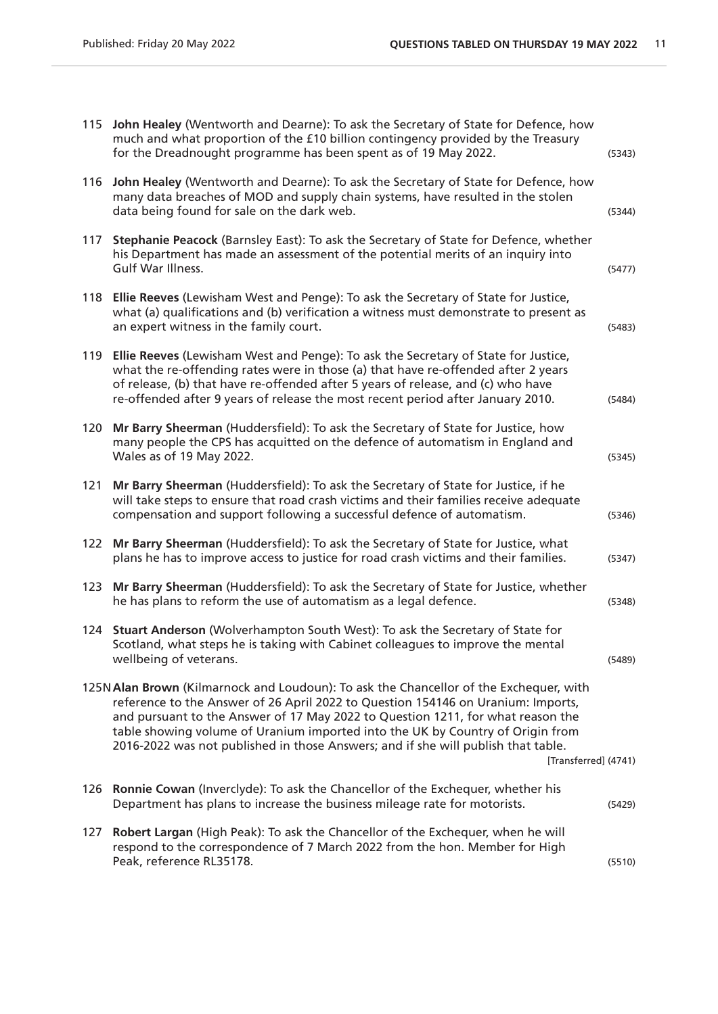| 115 | John Healey (Wentworth and Dearne): To ask the Secretary of State for Defence, how<br>much and what proportion of the £10 billion contingency provided by the Treasury<br>for the Dreadnought programme has been spent as of 19 May 2022.                                                                                                                                                                                                                    | (5343) |
|-----|--------------------------------------------------------------------------------------------------------------------------------------------------------------------------------------------------------------------------------------------------------------------------------------------------------------------------------------------------------------------------------------------------------------------------------------------------------------|--------|
| 116 | John Healey (Wentworth and Dearne): To ask the Secretary of State for Defence, how<br>many data breaches of MOD and supply chain systems, have resulted in the stolen<br>data being found for sale on the dark web.                                                                                                                                                                                                                                          | (5344) |
| 117 | Stephanie Peacock (Barnsley East): To ask the Secretary of State for Defence, whether<br>his Department has made an assessment of the potential merits of an inquiry into<br>Gulf War Illness.                                                                                                                                                                                                                                                               | (5477) |
| 118 | Ellie Reeves (Lewisham West and Penge): To ask the Secretary of State for Justice,<br>what (a) qualifications and (b) verification a witness must demonstrate to present as<br>an expert witness in the family court.                                                                                                                                                                                                                                        | (5483) |
| 119 | Ellie Reeves (Lewisham West and Penge): To ask the Secretary of State for Justice,<br>what the re-offending rates were in those (a) that have re-offended after 2 years<br>of release, (b) that have re-offended after 5 years of release, and (c) who have<br>re-offended after 9 years of release the most recent period after January 2010.                                                                                                               | (5484) |
| 120 | Mr Barry Sheerman (Huddersfield): To ask the Secretary of State for Justice, how<br>many people the CPS has acquitted on the defence of automatism in England and<br>Wales as of 19 May 2022.                                                                                                                                                                                                                                                                | (5345) |
| 121 | Mr Barry Sheerman (Huddersfield): To ask the Secretary of State for Justice, if he<br>will take steps to ensure that road crash victims and their families receive adequate<br>compensation and support following a successful defence of automatism.                                                                                                                                                                                                        | (5346) |
| 122 | Mr Barry Sheerman (Huddersfield): To ask the Secretary of State for Justice, what<br>plans he has to improve access to justice for road crash victims and their families.                                                                                                                                                                                                                                                                                    | (5347) |
| 123 | Mr Barry Sheerman (Huddersfield): To ask the Secretary of State for Justice, whether<br>he has plans to reform the use of automatism as a legal defence.                                                                                                                                                                                                                                                                                                     | (5348) |
| 124 | Stuart Anderson (Wolverhampton South West): To ask the Secretary of State for<br>Scotland, what steps he is taking with Cabinet colleagues to improve the mental<br>wellbeing of veterans.                                                                                                                                                                                                                                                                   | (5489) |
|     | 125N Alan Brown (Kilmarnock and Loudoun): To ask the Chancellor of the Exchequer, with<br>reference to the Answer of 26 April 2022 to Question 154146 on Uranium: Imports,<br>and pursuant to the Answer of 17 May 2022 to Question 1211, for what reason the<br>table showing volume of Uranium imported into the UK by Country of Origin from<br>2016-2022 was not published in those Answers; and if she will publish that table.<br>[Transferred] (4741) |        |
| 126 | Ronnie Cowan (Inverclyde): To ask the Chancellor of the Exchequer, whether his<br>Department has plans to increase the business mileage rate for motorists.                                                                                                                                                                                                                                                                                                  | (5429) |
| 127 | Robert Largan (High Peak): To ask the Chancellor of the Exchequer, when he will<br>respond to the correspondence of 7 March 2022 from the hon. Member for High<br>Peak, reference RL35178.                                                                                                                                                                                                                                                                   | (5510) |
|     |                                                                                                                                                                                                                                                                                                                                                                                                                                                              |        |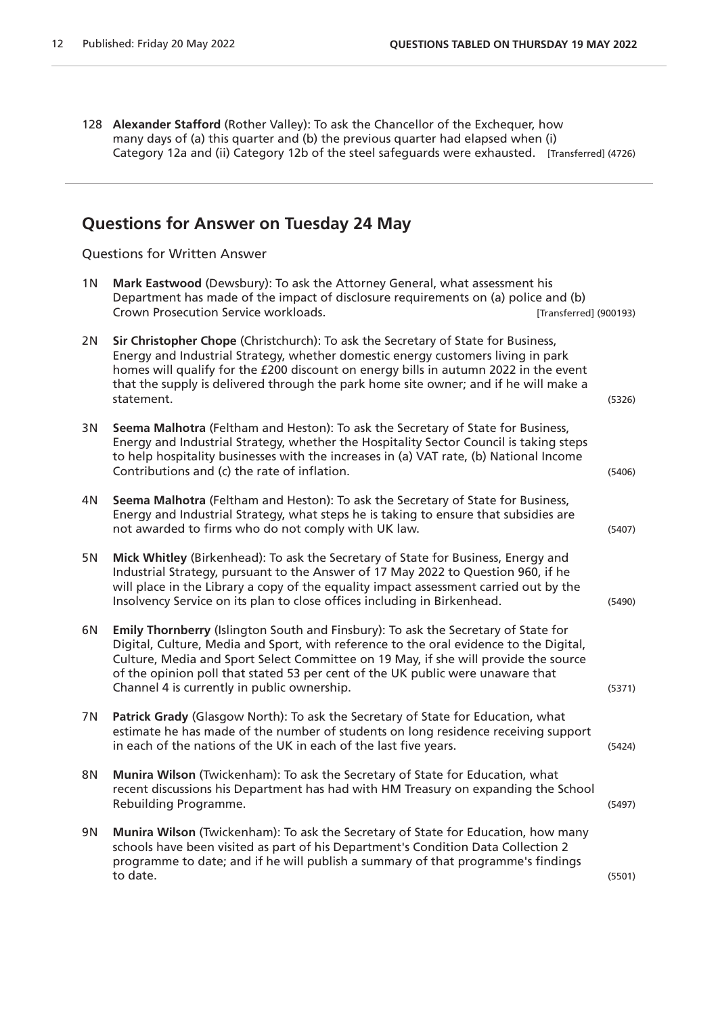128 **Alexander Stafford** (Rother Valley): To ask the Chancellor of the Exchequer, how many days of (a) this quarter and (b) the previous quarter had elapsed when (i) Category 12a and (ii) Category 12b of the steel safeguards were exhausted. [Transferred] (4726)

## **Questions for Answer on Tuesday 24 May**

Questions for Written Answer

| 1 N | Mark Eastwood (Dewsbury): To ask the Attorney General, what assessment his<br>Department has made of the impact of disclosure requirements on (a) police and (b)<br>Crown Prosecution Service workloads.                                                                                                                                                                                             | [Transferred] (900193) |        |
|-----|------------------------------------------------------------------------------------------------------------------------------------------------------------------------------------------------------------------------------------------------------------------------------------------------------------------------------------------------------------------------------------------------------|------------------------|--------|
| 2N  | Sir Christopher Chope (Christchurch): To ask the Secretary of State for Business,<br>Energy and Industrial Strategy, whether domestic energy customers living in park<br>homes will qualify for the £200 discount on energy bills in autumn 2022 in the event<br>that the supply is delivered through the park home site owner; and if he will make a<br>statement.                                  |                        | (5326) |
| 3 N | Seema Malhotra (Feltham and Heston): To ask the Secretary of State for Business,<br>Energy and Industrial Strategy, whether the Hospitality Sector Council is taking steps<br>to help hospitality businesses with the increases in (a) VAT rate, (b) National Income<br>Contributions and (c) the rate of inflation.                                                                                 |                        | (5406) |
| 4N  | Seema Malhotra (Feltham and Heston): To ask the Secretary of State for Business,<br>Energy and Industrial Strategy, what steps he is taking to ensure that subsidies are<br>not awarded to firms who do not comply with UK law.                                                                                                                                                                      |                        | (5407) |
| 5N  | Mick Whitley (Birkenhead): To ask the Secretary of State for Business, Energy and<br>Industrial Strategy, pursuant to the Answer of 17 May 2022 to Question 960, if he<br>will place in the Library a copy of the equality impact assessment carried out by the<br>Insolvency Service on its plan to close offices including in Birkenhead.                                                          |                        | (5490) |
| 6N  | Emily Thornberry (Islington South and Finsbury): To ask the Secretary of State for<br>Digital, Culture, Media and Sport, with reference to the oral evidence to the Digital,<br>Culture, Media and Sport Select Committee on 19 May, if she will provide the source<br>of the opinion poll that stated 53 per cent of the UK public were unaware that<br>Channel 4 is currently in public ownership. |                        | (5371) |
| 7N  | Patrick Grady (Glasgow North): To ask the Secretary of State for Education, what<br>estimate he has made of the number of students on long residence receiving support<br>in each of the nations of the UK in each of the last five years.                                                                                                                                                           |                        | (5424) |
| 8N  | Munira Wilson (Twickenham): To ask the Secretary of State for Education, what<br>recent discussions his Department has had with HM Treasury on expanding the School<br>Rebuilding Programme.                                                                                                                                                                                                         |                        | (5497) |
| 9N  | Munira Wilson (Twickenham): To ask the Secretary of State for Education, how many<br>schools have been visited as part of his Department's Condition Data Collection 2<br>programme to date; and if he will publish a summary of that programme's findings<br>to date.                                                                                                                               |                        | (5501) |
|     |                                                                                                                                                                                                                                                                                                                                                                                                      |                        |        |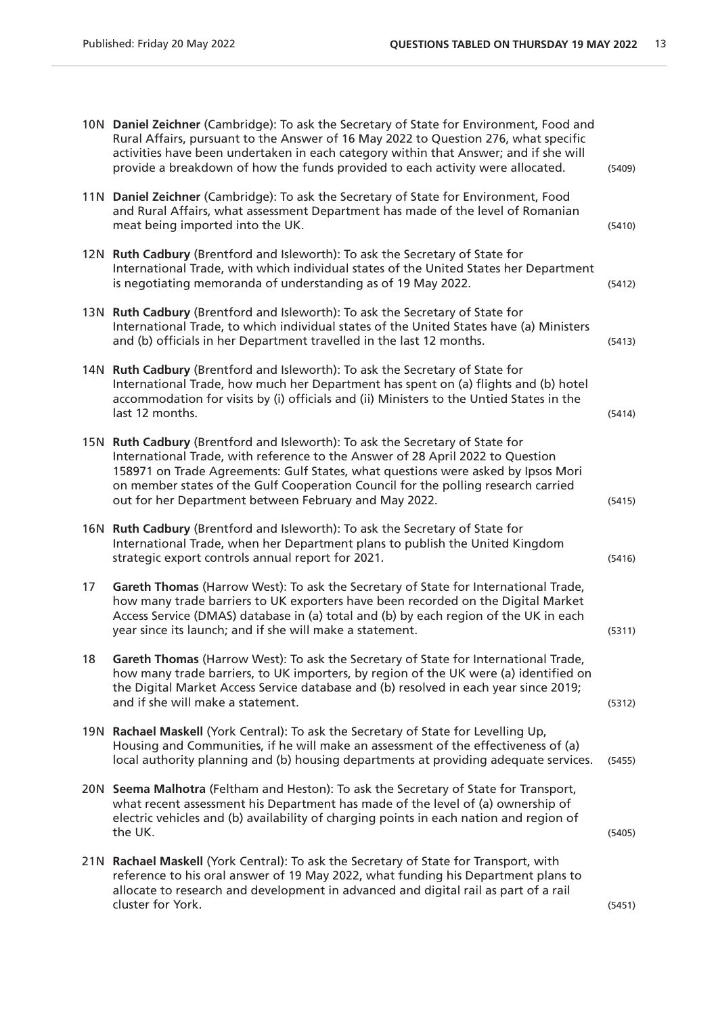|    | 10N Daniel Zeichner (Cambridge): To ask the Secretary of State for Environment, Food and<br>Rural Affairs, pursuant to the Answer of 16 May 2022 to Question 276, what specific<br>activities have been undertaken in each category within that Answer; and if she will<br>provide a breakdown of how the funds provided to each activity were allocated.                                         | (5409) |
|----|---------------------------------------------------------------------------------------------------------------------------------------------------------------------------------------------------------------------------------------------------------------------------------------------------------------------------------------------------------------------------------------------------|--------|
|    | 11N Daniel Zeichner (Cambridge): To ask the Secretary of State for Environment, Food<br>and Rural Affairs, what assessment Department has made of the level of Romanian<br>meat being imported into the UK.                                                                                                                                                                                       | (5410) |
|    | 12N Ruth Cadbury (Brentford and Isleworth): To ask the Secretary of State for<br>International Trade, with which individual states of the United States her Department<br>is negotiating memoranda of understanding as of 19 May 2022.                                                                                                                                                            | (5412) |
|    | 13N Ruth Cadbury (Brentford and Isleworth): To ask the Secretary of State for<br>International Trade, to which individual states of the United States have (a) Ministers<br>and (b) officials in her Department travelled in the last 12 months.                                                                                                                                                  | (5413) |
|    | 14N Ruth Cadbury (Brentford and Isleworth): To ask the Secretary of State for<br>International Trade, how much her Department has spent on (a) flights and (b) hotel<br>accommodation for visits by (i) officials and (ii) Ministers to the Untied States in the<br>last 12 months.                                                                                                               | (5414) |
|    | 15N Ruth Cadbury (Brentford and Isleworth): To ask the Secretary of State for<br>International Trade, with reference to the Answer of 28 April 2022 to Question<br>158971 on Trade Agreements: Gulf States, what questions were asked by Ipsos Mori<br>on member states of the Gulf Cooperation Council for the polling research carried<br>out for her Department between February and May 2022. | (5415) |
|    | 16N Ruth Cadbury (Brentford and Isleworth): To ask the Secretary of State for<br>International Trade, when her Department plans to publish the United Kingdom<br>strategic export controls annual report for 2021.                                                                                                                                                                                | (5416) |
| 17 | Gareth Thomas (Harrow West): To ask the Secretary of State for International Trade,<br>how many trade barriers to UK exporters have been recorded on the Digital Market<br>Access Service (DMAS) database in (a) total and (b) by each region of the UK in each<br>year since its launch; and if she will make a statement.                                                                       | (5311) |
| 18 | Gareth Thomas (Harrow West): To ask the Secretary of State for International Trade,<br>how many trade barriers, to UK importers, by region of the UK were (a) identified on<br>the Digital Market Access Service database and (b) resolved in each year since 2019;<br>and if she will make a statement.                                                                                          | (5312) |
|    | 19N Rachael Maskell (York Central): To ask the Secretary of State for Levelling Up,<br>Housing and Communities, if he will make an assessment of the effectiveness of (a)<br>local authority planning and (b) housing departments at providing adequate services.                                                                                                                                 | (5455) |
|    | 20N Seema Malhotra (Feltham and Heston): To ask the Secretary of State for Transport,<br>what recent assessment his Department has made of the level of (a) ownership of<br>electric vehicles and (b) availability of charging points in each nation and region of<br>the UK.                                                                                                                     | (5405) |
|    | 21N Rachael Maskell (York Central): To ask the Secretary of State for Transport, with<br>reference to his oral answer of 19 May 2022, what funding his Department plans to<br>allocate to research and development in advanced and digital rail as part of a rail<br>cluster for York.                                                                                                            | (5451) |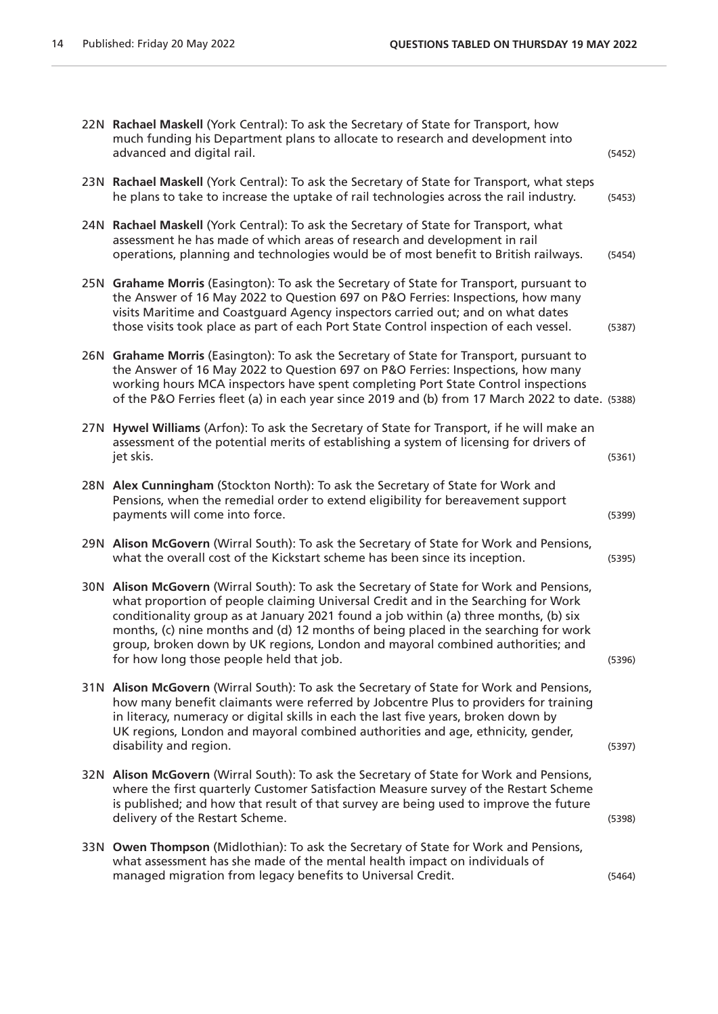|     | 22N Rachael Maskell (York Central): To ask the Secretary of State for Transport, how<br>much funding his Department plans to allocate to research and development into<br>advanced and digital rail.                                                                                                                                                                                                                                                                                       | (5452) |
|-----|--------------------------------------------------------------------------------------------------------------------------------------------------------------------------------------------------------------------------------------------------------------------------------------------------------------------------------------------------------------------------------------------------------------------------------------------------------------------------------------------|--------|
|     | 23N Rachael Maskell (York Central): To ask the Secretary of State for Transport, what steps<br>he plans to take to increase the uptake of rail technologies across the rail industry.                                                                                                                                                                                                                                                                                                      | (5453) |
| 24N | Rachael Maskell (York Central): To ask the Secretary of State for Transport, what<br>assessment he has made of which areas of research and development in rail<br>operations, planning and technologies would be of most benefit to British railways.                                                                                                                                                                                                                                      | (5454) |
|     | 25N Grahame Morris (Easington): To ask the Secretary of State for Transport, pursuant to<br>the Answer of 16 May 2022 to Question 697 on P&O Ferries: Inspections, how many<br>visits Maritime and Coastguard Agency inspectors carried out; and on what dates<br>those visits took place as part of each Port State Control inspection of each vessel.                                                                                                                                    | (5387) |
|     | 26N Grahame Morris (Easington): To ask the Secretary of State for Transport, pursuant to<br>the Answer of 16 May 2022 to Question 697 on P&O Ferries: Inspections, how many<br>working hours MCA inspectors have spent completing Port State Control inspections<br>of the P&O Ferries fleet (a) in each year since 2019 and (b) from 17 March 2022 to date. (5388)                                                                                                                        |        |
| 27N | Hywel Williams (Arfon): To ask the Secretary of State for Transport, if he will make an<br>assessment of the potential merits of establishing a system of licensing for drivers of<br>jet skis.                                                                                                                                                                                                                                                                                            | (5361) |
|     | 28N Alex Cunningham (Stockton North): To ask the Secretary of State for Work and<br>Pensions, when the remedial order to extend eligibility for bereavement support<br>payments will come into force.                                                                                                                                                                                                                                                                                      | (5399) |
|     | 29N Alison McGovern (Wirral South): To ask the Secretary of State for Work and Pensions,<br>what the overall cost of the Kickstart scheme has been since its inception.                                                                                                                                                                                                                                                                                                                    | (5395) |
|     | 30N Alison McGovern (Wirral South): To ask the Secretary of State for Work and Pensions,<br>what proportion of people claiming Universal Credit and in the Searching for Work<br>conditionality group as at January 2021 found a job within (a) three months, (b) six<br>months, (c) nine months and (d) 12 months of being placed in the searching for work<br>group, broken down by UK regions, London and mayoral combined authorities; and<br>for how long those people held that job. | (5396) |
|     | 31N Alison McGovern (Wirral South): To ask the Secretary of State for Work and Pensions,<br>how many benefit claimants were referred by Jobcentre Plus to providers for training<br>in literacy, numeracy or digital skills in each the last five years, broken down by<br>UK regions, London and mayoral combined authorities and age, ethnicity, gender,<br>disability and region.                                                                                                       | (5397) |
|     | 32N Alison McGovern (Wirral South): To ask the Secretary of State for Work and Pensions,<br>where the first quarterly Customer Satisfaction Measure survey of the Restart Scheme<br>is published; and how that result of that survey are being used to improve the future<br>delivery of the Restart Scheme.                                                                                                                                                                               | (5398) |
|     | 33N Owen Thompson (Midlothian): To ask the Secretary of State for Work and Pensions,<br>what assessment has she made of the mental health impact on individuals of<br>managed migration from legacy benefits to Universal Credit.                                                                                                                                                                                                                                                          | (5464) |
|     |                                                                                                                                                                                                                                                                                                                                                                                                                                                                                            |        |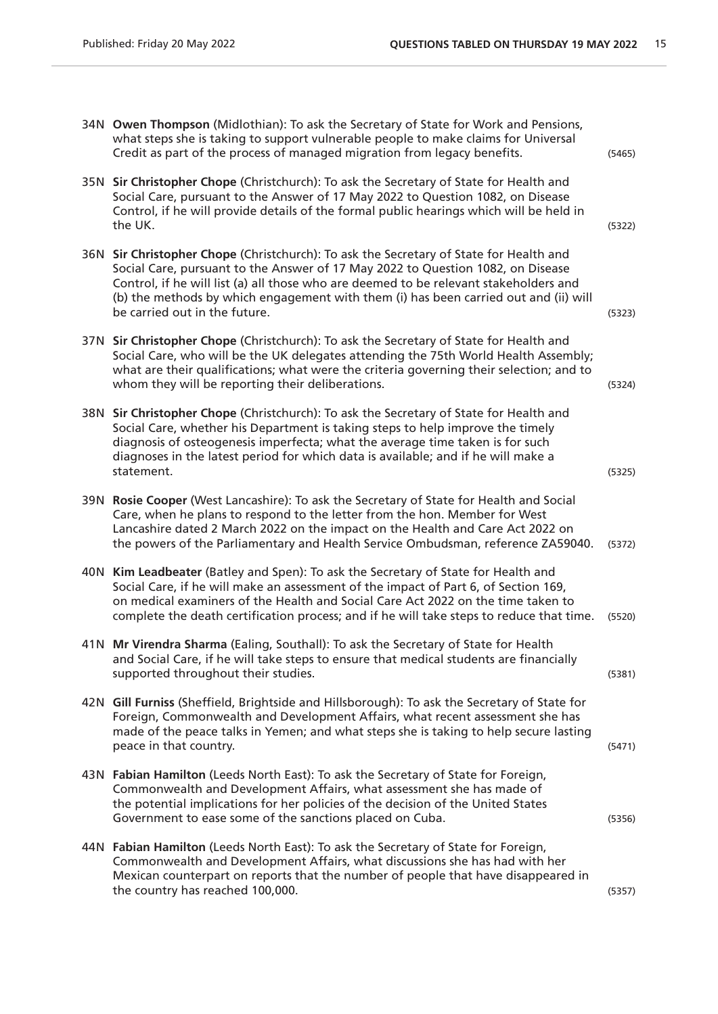| 34N Owen Thompson (Midlothian): To ask the Secretary of State for Work and Pensions,<br>what steps she is taking to support vulnerable people to make claims for Universal<br>Credit as part of the process of managed migration from legacy benefits.                                                                                                                                      | (5465) |
|---------------------------------------------------------------------------------------------------------------------------------------------------------------------------------------------------------------------------------------------------------------------------------------------------------------------------------------------------------------------------------------------|--------|
| 35N Sir Christopher Chope (Christchurch): To ask the Secretary of State for Health and<br>Social Care, pursuant to the Answer of 17 May 2022 to Question 1082, on Disease<br>Control, if he will provide details of the formal public hearings which will be held in<br>the UK.                                                                                                             | (5322) |
| 36N Sir Christopher Chope (Christchurch): To ask the Secretary of State for Health and<br>Social Care, pursuant to the Answer of 17 May 2022 to Question 1082, on Disease<br>Control, if he will list (a) all those who are deemed to be relevant stakeholders and<br>(b) the methods by which engagement with them (i) has been carried out and (ii) will<br>be carried out in the future. | (5323) |
| 37N Sir Christopher Chope (Christchurch): To ask the Secretary of State for Health and<br>Social Care, who will be the UK delegates attending the 75th World Health Assembly;<br>what are their qualifications; what were the criteria governing their selection; and to<br>whom they will be reporting their deliberations.                                                                | (5324) |
| 38N Sir Christopher Chope (Christchurch): To ask the Secretary of State for Health and<br>Social Care, whether his Department is taking steps to help improve the timely<br>diagnosis of osteogenesis imperfecta; what the average time taken is for such<br>diagnoses in the latest period for which data is available; and if he will make a<br>statement.                                | (5325) |
| 39N Rosie Cooper (West Lancashire): To ask the Secretary of State for Health and Social<br>Care, when he plans to respond to the letter from the hon. Member for West<br>Lancashire dated 2 March 2022 on the impact on the Health and Care Act 2022 on<br>the powers of the Parliamentary and Health Service Ombudsman, reference ZA59040.                                                 | (5372) |
| 40N Kim Leadbeater (Batley and Spen): To ask the Secretary of State for Health and<br>Social Care, if he will make an assessment of the impact of Part 6, of Section 169,<br>on medical examiners of the Health and Social Care Act 2022 on the time taken to<br>complete the death certification process; and if he will take steps to reduce that time.                                   | (5520) |
| 41N Mr Virendra Sharma (Ealing, Southall): To ask the Secretary of State for Health<br>and Social Care, if he will take steps to ensure that medical students are financially<br>supported throughout their studies.                                                                                                                                                                        | (5381) |
| 42N Gill Furniss (Sheffield, Brightside and Hillsborough): To ask the Secretary of State for<br>Foreign, Commonwealth and Development Affairs, what recent assessment she has<br>made of the peace talks in Yemen; and what steps she is taking to help secure lasting<br>peace in that country.                                                                                            | (5471) |
| 43N Fabian Hamilton (Leeds North East): To ask the Secretary of State for Foreign,<br>Commonwealth and Development Affairs, what assessment she has made of<br>the potential implications for her policies of the decision of the United States<br>Government to ease some of the sanctions placed on Cuba.                                                                                 | (5356) |
| 44N Fabian Hamilton (Leeds North East): To ask the Secretary of State for Foreign,<br>Commonwealth and Development Affairs, what discussions she has had with her<br>Mexican counterpart on reports that the number of people that have disappeared in<br>the country has reached 100,000.                                                                                                  | (5357) |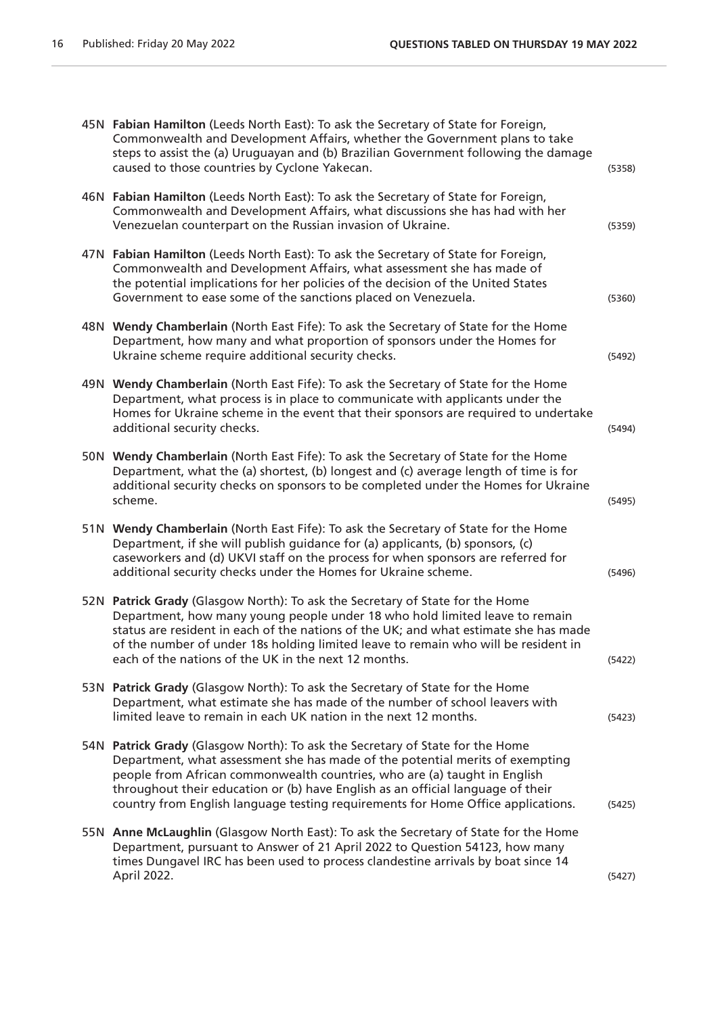|      | 45N Fabian Hamilton (Leeds North East): To ask the Secretary of State for Foreign,<br>Commonwealth and Development Affairs, whether the Government plans to take<br>steps to assist the (a) Uruguayan and (b) Brazilian Government following the damage<br>caused to those countries by Cyclone Yakecan.                                                                                                           | (5358) |
|------|--------------------------------------------------------------------------------------------------------------------------------------------------------------------------------------------------------------------------------------------------------------------------------------------------------------------------------------------------------------------------------------------------------------------|--------|
|      | 46N Fabian Hamilton (Leeds North East): To ask the Secretary of State for Foreign,<br>Commonwealth and Development Affairs, what discussions she has had with her<br>Venezuelan counterpart on the Russian invasion of Ukraine.                                                                                                                                                                                    | (5359) |
|      | 47N Fabian Hamilton (Leeds North East): To ask the Secretary of State for Foreign,<br>Commonwealth and Development Affairs, what assessment she has made of<br>the potential implications for her policies of the decision of the United States<br>Government to ease some of the sanctions placed on Venezuela.                                                                                                   | (5360) |
|      | 48N Wendy Chamberlain (North East Fife): To ask the Secretary of State for the Home<br>Department, how many and what proportion of sponsors under the Homes for<br>Ukraine scheme require additional security checks.                                                                                                                                                                                              | (5492) |
| 49 N | Wendy Chamberlain (North East Fife): To ask the Secretary of State for the Home<br>Department, what process is in place to communicate with applicants under the<br>Homes for Ukraine scheme in the event that their sponsors are required to undertake<br>additional security checks.                                                                                                                             | (5494) |
|      | 50N Wendy Chamberlain (North East Fife): To ask the Secretary of State for the Home<br>Department, what the (a) shortest, (b) longest and (c) average length of time is for<br>additional security checks on sponsors to be completed under the Homes for Ukraine<br>scheme.                                                                                                                                       | (5495) |
|      | 51N Wendy Chamberlain (North East Fife): To ask the Secretary of State for the Home<br>Department, if she will publish guidance for (a) applicants, (b) sponsors, (c)<br>caseworkers and (d) UKVI staff on the process for when sponsors are referred for<br>additional security checks under the Homes for Ukraine scheme.                                                                                        | (5496) |
|      | 52N Patrick Grady (Glasgow North): To ask the Secretary of State for the Home<br>Department, how many young people under 18 who hold limited leave to remain<br>status are resident in each of the nations of the UK; and what estimate she has made<br>of the number of under 18s holding limited leave to remain who will be resident in<br>each of the nations of the UK in the next 12 months.                 | (5422) |
|      | 53N Patrick Grady (Glasgow North): To ask the Secretary of State for the Home<br>Department, what estimate she has made of the number of school leavers with<br>limited leave to remain in each UK nation in the next 12 months.                                                                                                                                                                                   | (5423) |
|      | 54N Patrick Grady (Glasgow North): To ask the Secretary of State for the Home<br>Department, what assessment she has made of the potential merits of exempting<br>people from African commonwealth countries, who are (a) taught in English<br>throughout their education or (b) have English as an official language of their<br>country from English language testing requirements for Home Office applications. | (5425) |
|      | 55N Anne McLaughlin (Glasgow North East): To ask the Secretary of State for the Home<br>Department, pursuant to Answer of 21 April 2022 to Question 54123, how many<br>times Dungavel IRC has been used to process clandestine arrivals by boat since 14<br>April 2022.                                                                                                                                            | (5427) |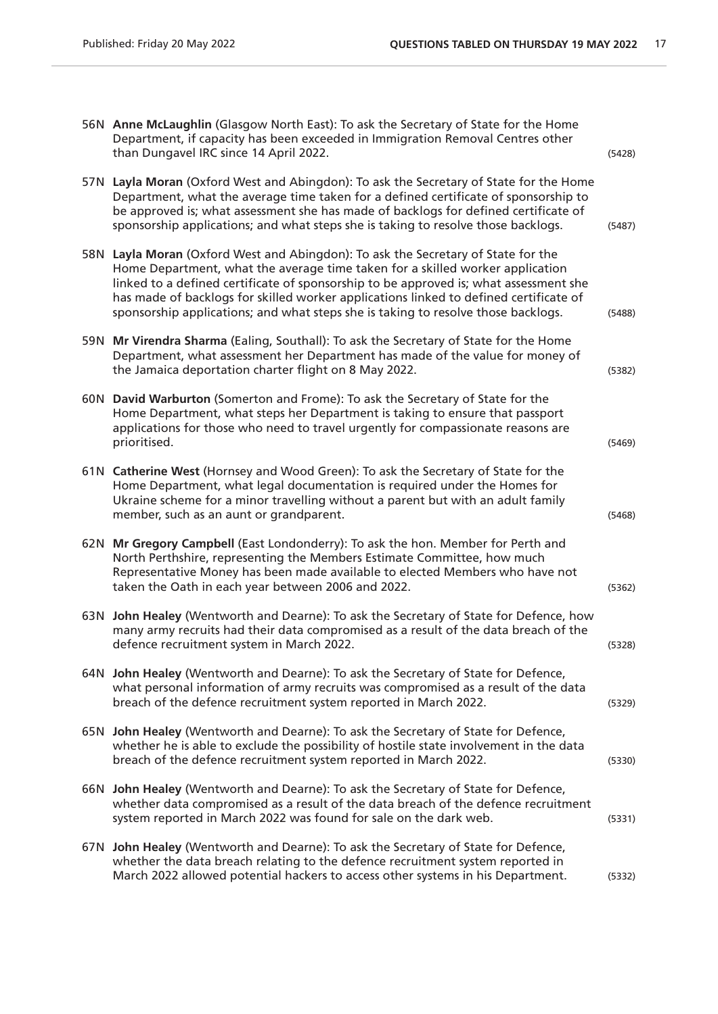|      | 56N Anne McLaughlin (Glasgow North East): To ask the Secretary of State for the Home<br>Department, if capacity has been exceeded in Immigration Removal Centres other<br>than Dungavel IRC since 14 April 2022.                                                                                                                                                                                                                      | (5428) |
|------|---------------------------------------------------------------------------------------------------------------------------------------------------------------------------------------------------------------------------------------------------------------------------------------------------------------------------------------------------------------------------------------------------------------------------------------|--------|
| 57 N | Layla Moran (Oxford West and Abingdon): To ask the Secretary of State for the Home<br>Department, what the average time taken for a defined certificate of sponsorship to<br>be approved is; what assessment she has made of backlogs for defined certificate of<br>sponsorship applications; and what steps she is taking to resolve those backlogs.                                                                                 | (5487) |
| 58N  | Layla Moran (Oxford West and Abingdon): To ask the Secretary of State for the<br>Home Department, what the average time taken for a skilled worker application<br>linked to a defined certificate of sponsorship to be approved is; what assessment she<br>has made of backlogs for skilled worker applications linked to defined certificate of<br>sponsorship applications; and what steps she is taking to resolve those backlogs. | (5488) |
| 59 N | Mr Virendra Sharma (Ealing, Southall): To ask the Secretary of State for the Home<br>Department, what assessment her Department has made of the value for money of<br>the Jamaica deportation charter flight on 8 May 2022.                                                                                                                                                                                                           | (5382) |
| 60N  | David Warburton (Somerton and Frome): To ask the Secretary of State for the<br>Home Department, what steps her Department is taking to ensure that passport<br>applications for those who need to travel urgently for compassionate reasons are<br>prioritised.                                                                                                                                                                       | (5469) |
|      | 61N Catherine West (Hornsey and Wood Green): To ask the Secretary of State for the<br>Home Department, what legal documentation is required under the Homes for<br>Ukraine scheme for a minor travelling without a parent but with an adult family<br>member, such as an aunt or grandparent.                                                                                                                                         | (5468) |
| 62N  | Mr Gregory Campbell (East Londonderry): To ask the hon. Member for Perth and<br>North Perthshire, representing the Members Estimate Committee, how much<br>Representative Money has been made available to elected Members who have not<br>taken the Oath in each year between 2006 and 2022.                                                                                                                                         | (5362) |
| 63 N | John Healey (Wentworth and Dearne): To ask the Secretary of State for Defence, how<br>many army recruits had their data compromised as a result of the data breach of the<br>defence recruitment system in March 2022.                                                                                                                                                                                                                | (5328) |
|      | 64N John Healey (Wentworth and Dearne): To ask the Secretary of State for Defence,<br>what personal information of army recruits was compromised as a result of the data<br>breach of the defence recruitment system reported in March 2022.                                                                                                                                                                                          | (5329) |
|      | 65N John Healey (Wentworth and Dearne): To ask the Secretary of State for Defence,<br>whether he is able to exclude the possibility of hostile state involvement in the data<br>breach of the defence recruitment system reported in March 2022.                                                                                                                                                                                      | (5330) |
|      | 66N John Healey (Wentworth and Dearne): To ask the Secretary of State for Defence,<br>whether data compromised as a result of the data breach of the defence recruitment<br>system reported in March 2022 was found for sale on the dark web.                                                                                                                                                                                         | (5331) |
|      | 67N John Healey (Wentworth and Dearne): To ask the Secretary of State for Defence,<br>whether the data breach relating to the defence recruitment system reported in<br>March 2022 allowed potential hackers to access other systems in his Department.                                                                                                                                                                               | (5332) |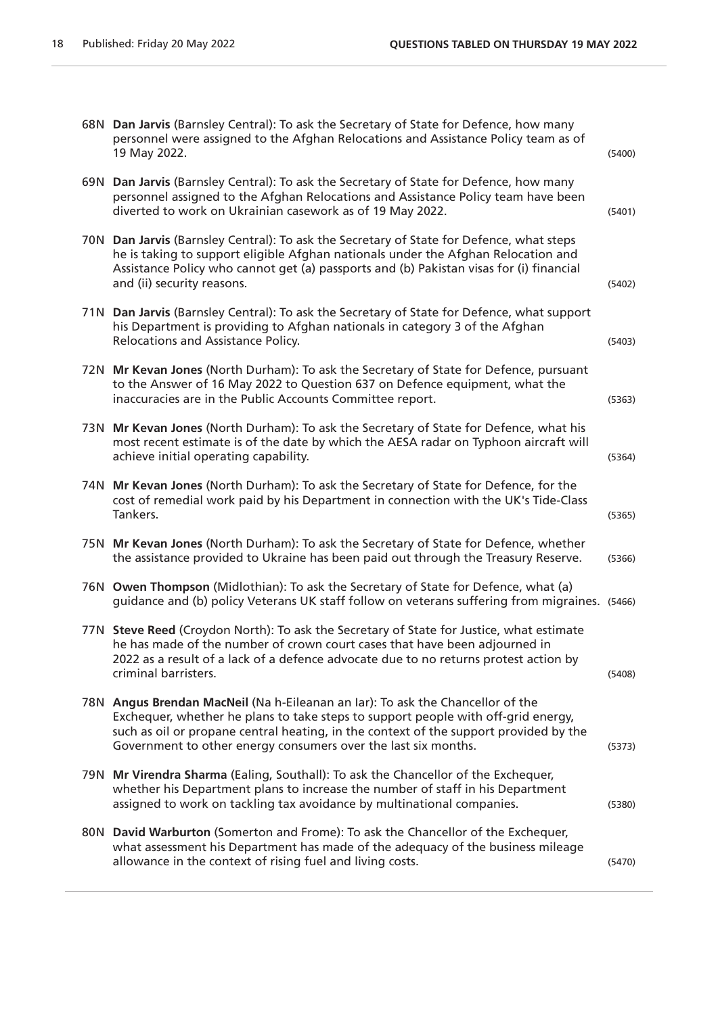| 68N Dan Jarvis (Barnsley Central): To ask the Secretary of State for Defence, how many<br>personnel were assigned to the Afghan Relocations and Assistance Policy team as of<br>19 May 2022.                                                                                                                                   | (5400) |
|--------------------------------------------------------------------------------------------------------------------------------------------------------------------------------------------------------------------------------------------------------------------------------------------------------------------------------|--------|
| 69N Dan Jarvis (Barnsley Central): To ask the Secretary of State for Defence, how many<br>personnel assigned to the Afghan Relocations and Assistance Policy team have been<br>diverted to work on Ukrainian casework as of 19 May 2022.                                                                                       | (5401) |
| 70N Dan Jarvis (Barnsley Central): To ask the Secretary of State for Defence, what steps<br>he is taking to support eligible Afghan nationals under the Afghan Relocation and<br>Assistance Policy who cannot get (a) passports and (b) Pakistan visas for (i) financial<br>and (ii) security reasons.                         | (5402) |
| 71N Dan Jarvis (Barnsley Central): To ask the Secretary of State for Defence, what support<br>his Department is providing to Afghan nationals in category 3 of the Afghan<br>Relocations and Assistance Policy.                                                                                                                | (5403) |
| 72N Mr Kevan Jones (North Durham): To ask the Secretary of State for Defence, pursuant<br>to the Answer of 16 May 2022 to Question 637 on Defence equipment, what the<br>inaccuracies are in the Public Accounts Committee report.                                                                                             | (5363) |
| 73N Mr Kevan Jones (North Durham): To ask the Secretary of State for Defence, what his<br>most recent estimate is of the date by which the AESA radar on Typhoon aircraft will<br>achieve initial operating capability.                                                                                                        | (5364) |
| 74N Mr Kevan Jones (North Durham): To ask the Secretary of State for Defence, for the<br>cost of remedial work paid by his Department in connection with the UK's Tide-Class<br>Tankers.                                                                                                                                       | (5365) |
| 75N Mr Kevan Jones (North Durham): To ask the Secretary of State for Defence, whether<br>the assistance provided to Ukraine has been paid out through the Treasury Reserve.                                                                                                                                                    | (5366) |
| 76N Owen Thompson (Midlothian): To ask the Secretary of State for Defence, what (a)<br>guidance and (b) policy Veterans UK staff follow on veterans suffering from migraines. (5466)                                                                                                                                           |        |
| 77N Steve Reed (Croydon North): To ask the Secretary of State for Justice, what estimate<br>he has made of the number of crown court cases that have been adjourned in<br>2022 as a result of a lack of a defence advocate due to no returns protest action by<br>criminal barristers.                                         | (5408) |
| 78N Angus Brendan MacNeil (Na h-Eileanan an Iar): To ask the Chancellor of the<br>Exchequer, whether he plans to take steps to support people with off-grid energy,<br>such as oil or propane central heating, in the context of the support provided by the<br>Government to other energy consumers over the last six months. | (5373) |
| 79N Mr Virendra Sharma (Ealing, Southall): To ask the Chancellor of the Exchequer,<br>whether his Department plans to increase the number of staff in his Department<br>assigned to work on tackling tax avoidance by multinational companies.                                                                                 | (5380) |
| 80N David Warburton (Somerton and Frome): To ask the Chancellor of the Exchequer,<br>what assessment his Department has made of the adequacy of the business mileage<br>allowance in the context of rising fuel and living costs.                                                                                              | (5470) |
|                                                                                                                                                                                                                                                                                                                                |        |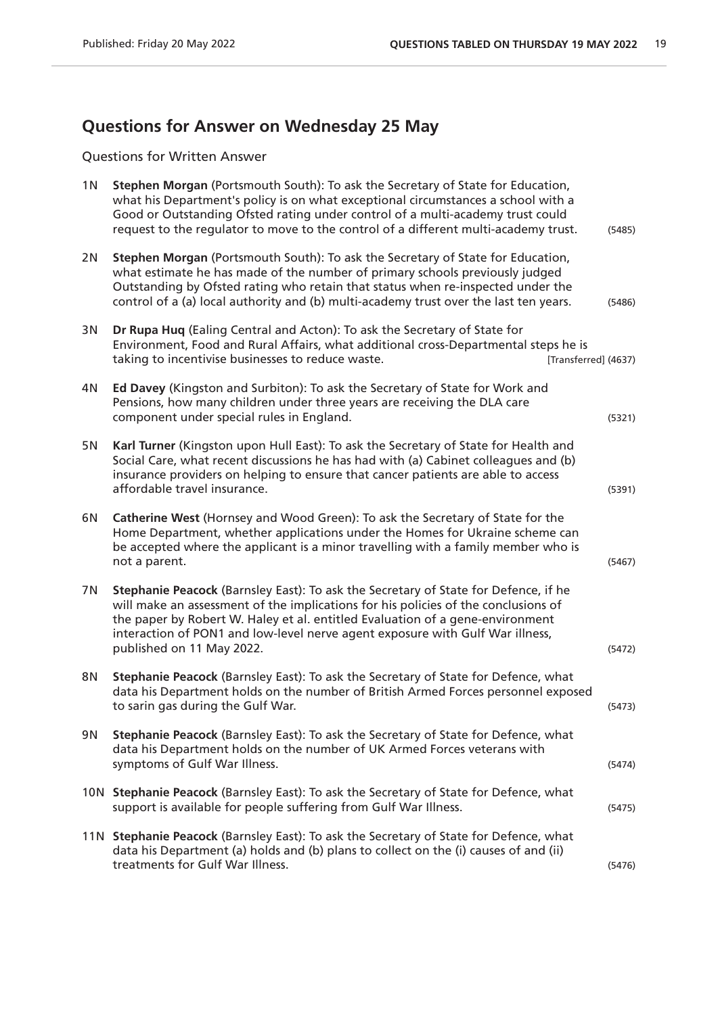## **Questions for Answer on Wednesday 25 May**

Questions for Written Answer

| 1 <sub>N</sub> | Stephen Morgan (Portsmouth South): To ask the Secretary of State for Education,<br>what his Department's policy is on what exceptional circumstances a school with a<br>Good or Outstanding Ofsted rating under control of a multi-academy trust could<br>request to the regulator to move to the control of a different multi-academy trust.                            | (5485) |
|----------------|--------------------------------------------------------------------------------------------------------------------------------------------------------------------------------------------------------------------------------------------------------------------------------------------------------------------------------------------------------------------------|--------|
| 2N             | Stephen Morgan (Portsmouth South): To ask the Secretary of State for Education,<br>what estimate he has made of the number of primary schools previously judged<br>Outstanding by Ofsted rating who retain that status when re-inspected under the<br>control of a (a) local authority and (b) multi-academy trust over the last ten years.                              | (5486) |
| 3N             | Dr Rupa Huq (Ealing Central and Acton): To ask the Secretary of State for<br>Environment, Food and Rural Affairs, what additional cross-Departmental steps he is<br>taking to incentivise businesses to reduce waste.<br>[Transferred] (4637)                                                                                                                            |        |
| 4N             | Ed Davey (Kingston and Surbiton): To ask the Secretary of State for Work and<br>Pensions, how many children under three years are receiving the DLA care<br>component under special rules in England.                                                                                                                                                                    | (5321) |
| 5N             | Karl Turner (Kingston upon Hull East): To ask the Secretary of State for Health and<br>Social Care, what recent discussions he has had with (a) Cabinet colleagues and (b)<br>insurance providers on helping to ensure that cancer patients are able to access<br>affordable travel insurance.                                                                           | (5391) |
| 6N             | Catherine West (Hornsey and Wood Green): To ask the Secretary of State for the<br>Home Department, whether applications under the Homes for Ukraine scheme can<br>be accepted where the applicant is a minor travelling with a family member who is<br>not a parent.                                                                                                     | (5467) |
| 7N             | Stephanie Peacock (Barnsley East): To ask the Secretary of State for Defence, if he<br>will make an assessment of the implications for his policies of the conclusions of<br>the paper by Robert W. Haley et al. entitled Evaluation of a gene-environment<br>interaction of PON1 and low-level nerve agent exposure with Gulf War illness,<br>published on 11 May 2022. | (5472) |
| 8N             | Stephanie Peacock (Barnsley East): To ask the Secretary of State for Defence, what<br>data his Department holds on the number of British Armed Forces personnel exposed<br>to sarin gas during the Gulf War.                                                                                                                                                             | (5473) |
| 9N             | Stephanie Peacock (Barnsley East): To ask the Secretary of State for Defence, what<br>data his Department holds on the number of UK Armed Forces veterans with<br>symptoms of Gulf War Illness.                                                                                                                                                                          | (5474) |
|                | 10N Stephanie Peacock (Barnsley East): To ask the Secretary of State for Defence, what<br>support is available for people suffering from Gulf War Illness.                                                                                                                                                                                                               | (5475) |
|                | 11N Stephanie Peacock (Barnsley East): To ask the Secretary of State for Defence, what<br>data his Department (a) holds and (b) plans to collect on the (i) causes of and (ii)<br>treatments for Gulf War Illness.                                                                                                                                                       | (5476) |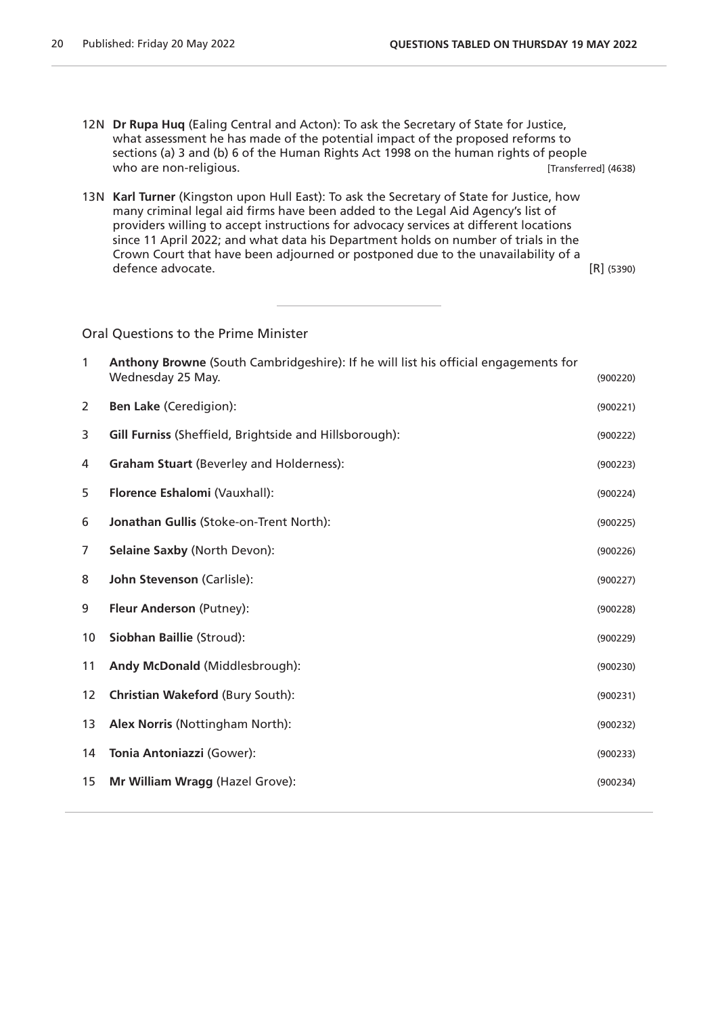- 12N **Dr Rupa Huq** (Ealing Central and Acton): To ask the Secretary of State for Justice, what assessment he has made of the potential impact of the proposed reforms to sections (a) 3 and (b) 6 of the Human Rights Act 1998 on the human rights of people who are non-religious. The set of the set of the set of the set of the set of the set of the set of the set of the set of the set of the set of the set of the set of the set of the set of the set of the set of the set of t
- 13N **Karl Turner** (Kingston upon Hull East): To ask the Secretary of State for Justice, how many criminal legal aid firms have been added to the Legal Aid Agency's list of providers willing to accept instructions for advocacy services at different locations since 11 April 2022; and what data his Department holds on number of trials in the Crown Court that have been adjourned or postponed due to the unavailability of a defence advocate. [R] (5390)

Oral Questions to the Prime Minister

| $\mathbf{1}$ | Anthony Browne (South Cambridgeshire): If he will list his official engagements for<br>Wednesday 25 May. | (900220) |
|--------------|----------------------------------------------------------------------------------------------------------|----------|
| 2            | <b>Ben Lake (Ceredigion):</b>                                                                            | (900221) |
| 3            | Gill Furniss (Sheffield, Brightside and Hillsborough):                                                   | (900222) |
| 4            | <b>Graham Stuart (Beverley and Holderness):</b>                                                          | (900223) |
| 5            | Florence Eshalomi (Vauxhall):                                                                            | (900224) |
| 6            | Jonathan Gullis (Stoke-on-Trent North):                                                                  | (900225) |
| 7            | Selaine Saxby (North Devon):                                                                             | (900226) |
| 8            | John Stevenson (Carlisle):                                                                               | (900227) |
| 9            | Fleur Anderson (Putney):                                                                                 | (900228) |
| 10           | Siobhan Baillie (Stroud):                                                                                | (900229) |
| 11           | Andy McDonald (Middlesbrough):                                                                           | (900230) |
| 12           | <b>Christian Wakeford (Bury South):</b>                                                                  | (900231) |
| 13           | Alex Norris (Nottingham North):                                                                          | (900232) |
| 14           | Tonia Antoniazzi (Gower):                                                                                | (900233) |
| 15           | Mr William Wragg (Hazel Grove):                                                                          | (900234) |
|              |                                                                                                          |          |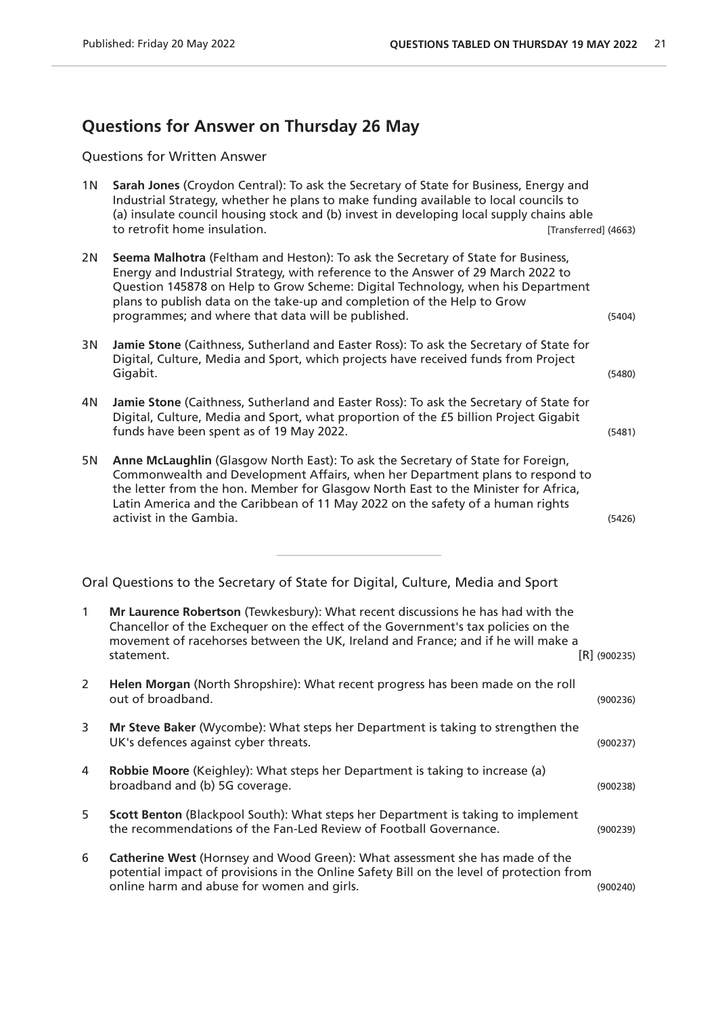#### **Questions for Answer on Thursday 26 May**

Questions for Written Answer

1N **Sarah Jones** (Croydon Central): To ask the Secretary of State for Business, Energy and Industrial Strategy, whether he plans to make funding available to local councils to (a) insulate council housing stock and (b) invest in developing local supply chains able to retrofit home insulation. The set of the set of the set of the set of the set of the set of the set of the set of the set of the set of the set of the set of the set of the set of the set of the set of the set of the se

2N **Seema Malhotra** (Feltham and Heston): To ask the Secretary of State for Business, Energy and Industrial Strategy, with reference to the Answer of 29 March 2022 to Question 145878 on Help to Grow Scheme: Digital Technology, when his Department plans to publish data on the take-up and completion of the Help to Grow programmes; and where that data will be published. (5404) 3N **Jamie Stone** (Caithness, Sutherland and Easter Ross): To ask the Secretary of State for

- Digital, Culture, Media and Sport, which projects have received funds from Project Gigabit. (5480)
- 4N **Jamie Stone** (Caithness, Sutherland and Easter Ross): To ask the Secretary of State for Digital, Culture, Media and Sport, what proportion of the £5 billion Project Gigabit funds have been spent as of 19 May 2022. (5481)
- 5N **Anne McLaughlin** (Glasgow North East): To ask the Secretary of State for Foreign, Commonwealth and Development Affairs, when her Department plans to respond to the letter from the hon. Member for Glasgow North East to the Minister for Africa, Latin America and the Caribbean of 11 May 2022 on the safety of a human rights activist in the Gambia. (5426)

Oral Questions to the Secretary of State for Digital, Culture, Media and Sport

| 1 | Mr Laurence Robertson (Tewkesbury): What recent discussions he has had with the<br>Chancellor of the Exchequer on the effect of the Government's tax policies on the<br>movement of racehorses between the UK, Ireland and France; and if he will make a<br>statement. | $[R]$ (900235) |
|---|------------------------------------------------------------------------------------------------------------------------------------------------------------------------------------------------------------------------------------------------------------------------|----------------|
| 2 | Helen Morgan (North Shropshire): What recent progress has been made on the roll<br>out of broadband.                                                                                                                                                                   | (900236)       |
| 3 | Mr Steve Baker (Wycombe): What steps her Department is taking to strengthen the<br>UK's defences against cyber threats.                                                                                                                                                | (900237)       |
| 4 | Robbie Moore (Keighley): What steps her Department is taking to increase (a)<br>broadband and (b) 5G coverage.                                                                                                                                                         | (900238)       |
| 5 | Scott Benton (Blackpool South): What steps her Department is taking to implement<br>the recommendations of the Fan-Led Review of Football Governance.                                                                                                                  | (900239)       |
| 6 | Catherine West (Hornsey and Wood Green): What assessment she has made of the<br>potential impact of provisions in the Online Safety Bill on the level of protection from<br>online harm and abuse for women and girls.                                                 | (900240)       |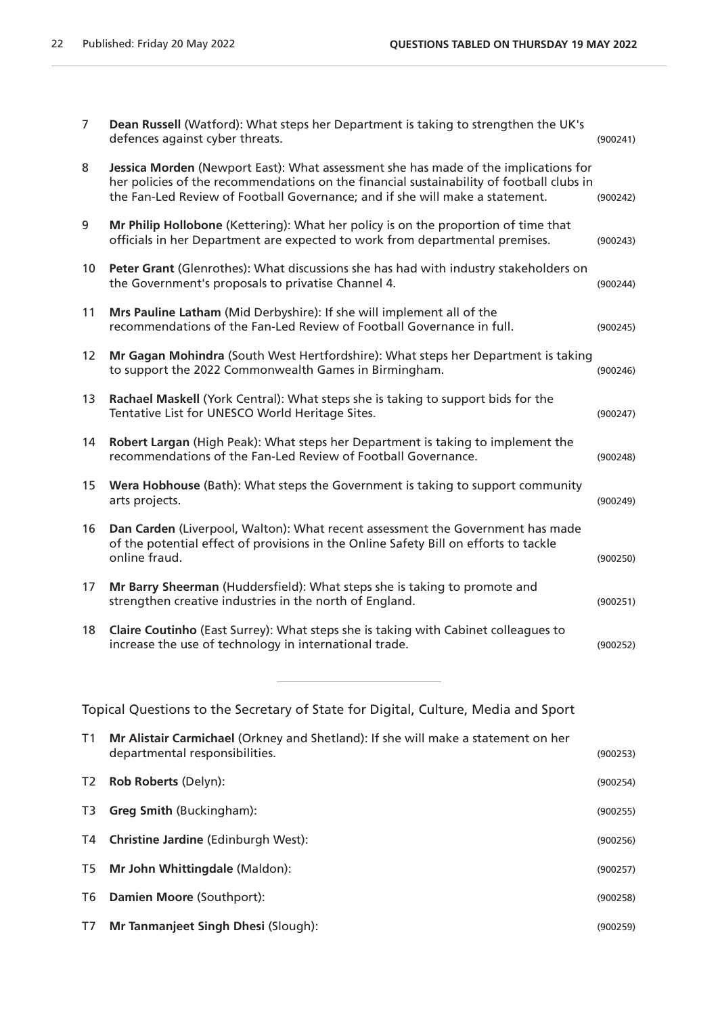| $\overline{7}$ | Dean Russell (Watford): What steps her Department is taking to strengthen the UK's<br>defences against cyber threats.                                                                                                                                           | (900241) |
|----------------|-----------------------------------------------------------------------------------------------------------------------------------------------------------------------------------------------------------------------------------------------------------------|----------|
| 8              | Jessica Morden (Newport East): What assessment she has made of the implications for<br>her policies of the recommendations on the financial sustainability of football clubs in<br>the Fan-Led Review of Football Governance; and if she will make a statement. | (900242) |
| 9              | Mr Philip Hollobone (Kettering): What her policy is on the proportion of time that<br>officials in her Department are expected to work from departmental premises.                                                                                              | (900243) |
| 10             | Peter Grant (Glenrothes): What discussions she has had with industry stakeholders on<br>the Government's proposals to privatise Channel 4.                                                                                                                      | (900244) |
| 11             | Mrs Pauline Latham (Mid Derbyshire): If she will implement all of the<br>recommendations of the Fan-Led Review of Football Governance in full.                                                                                                                  | (900245) |
| 12             | Mr Gagan Mohindra (South West Hertfordshire): What steps her Department is taking<br>to support the 2022 Commonwealth Games in Birmingham.                                                                                                                      | (900246) |
| 13             | Rachael Maskell (York Central): What steps she is taking to support bids for the<br>Tentative List for UNESCO World Heritage Sites.                                                                                                                             | (900247) |
| 14             | Robert Largan (High Peak): What steps her Department is taking to implement the<br>recommendations of the Fan-Led Review of Football Governance.                                                                                                                | (900248) |
| 15             | Wera Hobhouse (Bath): What steps the Government is taking to support community<br>arts projects.                                                                                                                                                                | (900249) |
| 16             | Dan Carden (Liverpool, Walton): What recent assessment the Government has made<br>of the potential effect of provisions in the Online Safety Bill on efforts to tackle<br>online fraud.                                                                         | (900250) |
| 17             | Mr Barry Sheerman (Huddersfield): What steps she is taking to promote and<br>strengthen creative industries in the north of England.                                                                                                                            | (900251) |
| 18             | Claire Coutinho (East Surrey): What steps she is taking with Cabinet colleagues to<br>increase the use of technology in international trade.                                                                                                                    | (900252) |
|                | Topical Questions to the Secretary of State for Digital, Culture, Media and Sport                                                                                                                                                                               |          |
| Τ1             | Mr Alistair Carmichael (Orkney and Shetland): If she will make a statement on her<br>departmental responsibilities.                                                                                                                                             | (900253) |
| T2             | Rob Roberts (Delyn):                                                                                                                                                                                                                                            | (900254) |
| T <sub>3</sub> | <b>Greg Smith (Buckingham):</b>                                                                                                                                                                                                                                 | (900255) |
| T4             | Christine Jardine (Edinburgh West):                                                                                                                                                                                                                             | (900256) |
| T5             | Mr John Whittingdale (Maldon):                                                                                                                                                                                                                                  | (900257) |
| T6             | Damien Moore (Southport):                                                                                                                                                                                                                                       | (900258) |

T7 **Mr Tanmanjeet Singh Dhesi** (Slough): (900259)